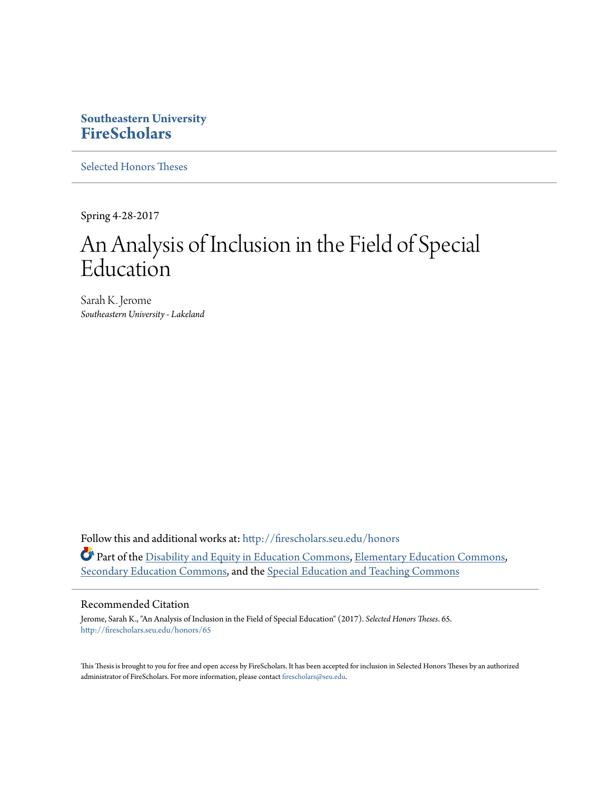# **Southeastern University [FireScholars](http://firescholars.seu.edu?utm_source=firescholars.seu.edu%2Fhonors%2F65&utm_medium=PDF&utm_campaign=PDFCoverPages)**

[Selected Honors Theses](http://firescholars.seu.edu/honors?utm_source=firescholars.seu.edu%2Fhonors%2F65&utm_medium=PDF&utm_campaign=PDFCoverPages)

Spring 4-28-2017

# An Analysis of Inclusion in the Field of Special Education

Sarah K. Jerome *Southeastern University - Lakeland*

Follow this and additional works at: [http://firescholars.seu.edu/honors](http://firescholars.seu.edu/honors?utm_source=firescholars.seu.edu%2Fhonors%2F65&utm_medium=PDF&utm_campaign=PDFCoverPages) Part of the [Disability and Equity in Education Commons,](http://network.bepress.com/hgg/discipline/1040?utm_source=firescholars.seu.edu%2Fhonors%2F65&utm_medium=PDF&utm_campaign=PDFCoverPages) [Elementary Education Commons](http://network.bepress.com/hgg/discipline/1378?utm_source=firescholars.seu.edu%2Fhonors%2F65&utm_medium=PDF&utm_campaign=PDFCoverPages), [Secondary Education Commons](http://network.bepress.com/hgg/discipline/1382?utm_source=firescholars.seu.edu%2Fhonors%2F65&utm_medium=PDF&utm_campaign=PDFCoverPages), and the [Special Education and Teaching Commons](http://network.bepress.com/hgg/discipline/801?utm_source=firescholars.seu.edu%2Fhonors%2F65&utm_medium=PDF&utm_campaign=PDFCoverPages)

#### Recommended Citation

Jerome, Sarah K., "An Analysis of Inclusion in the Field of Special Education" (2017). *Selected Honors Theses*. 65. [http://firescholars.seu.edu/honors/65](http://firescholars.seu.edu/honors/65?utm_source=firescholars.seu.edu%2Fhonors%2F65&utm_medium=PDF&utm_campaign=PDFCoverPages)

This Thesis is brought to you for free and open access by FireScholars. It has been accepted for inclusion in Selected Honors Theses by an authorized administrator of FireScholars. For more information, please contact [firescholars@seu.edu](mailto:firescholars@seu.edu).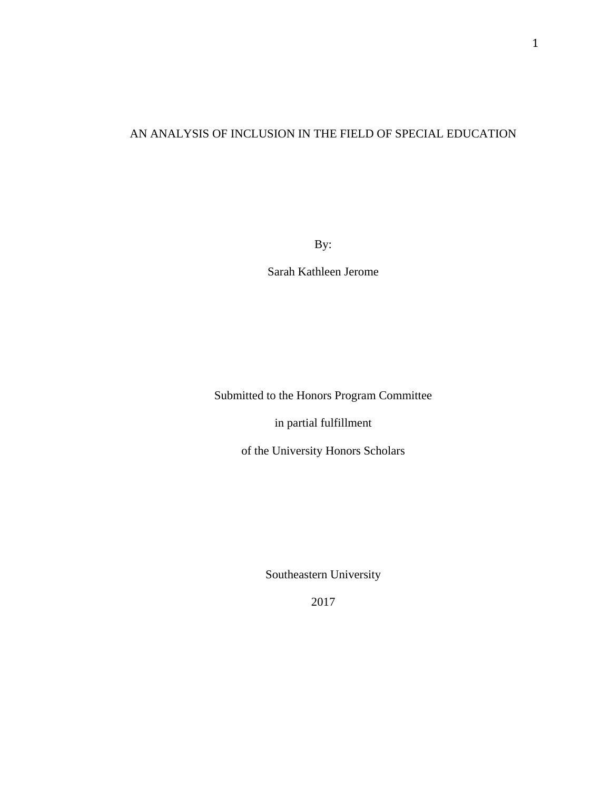# AN ANALYSIS OF INCLUSION IN THE FIELD OF SPECIAL EDUCATION

By:

Sarah Kathleen Jerome

Submitted to the Honors Program Committee

in partial fulfillment

of the University Honors Scholars

Southeastern University

2017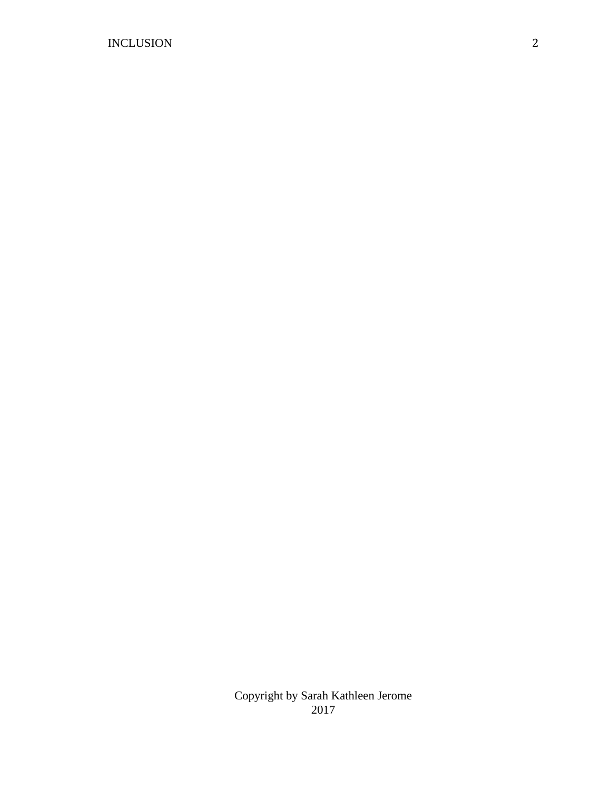Copyright by Sarah Kathleen Jerome 2017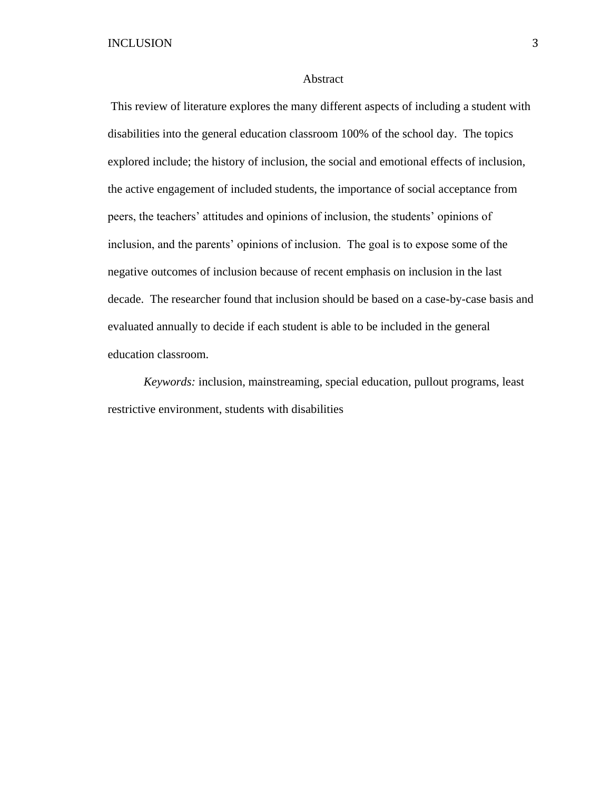#### Abstract

This review of literature explores the many different aspects of including a student with disabilities into the general education classroom 100% of the school day. The topics explored include; the history of inclusion, the social and emotional effects of inclusion, the active engagement of included students, the importance of social acceptance from peers, the teachers' attitudes and opinions of inclusion, the students' opinions of inclusion, and the parents' opinions of inclusion. The goal is to expose some of the negative outcomes of inclusion because of recent emphasis on inclusion in the last decade. The researcher found that inclusion should be based on a case-by-case basis and evaluated annually to decide if each student is able to be included in the general education classroom.

*Keywords:* inclusion, mainstreaming, special education, pullout programs, least restrictive environment, students with disabilities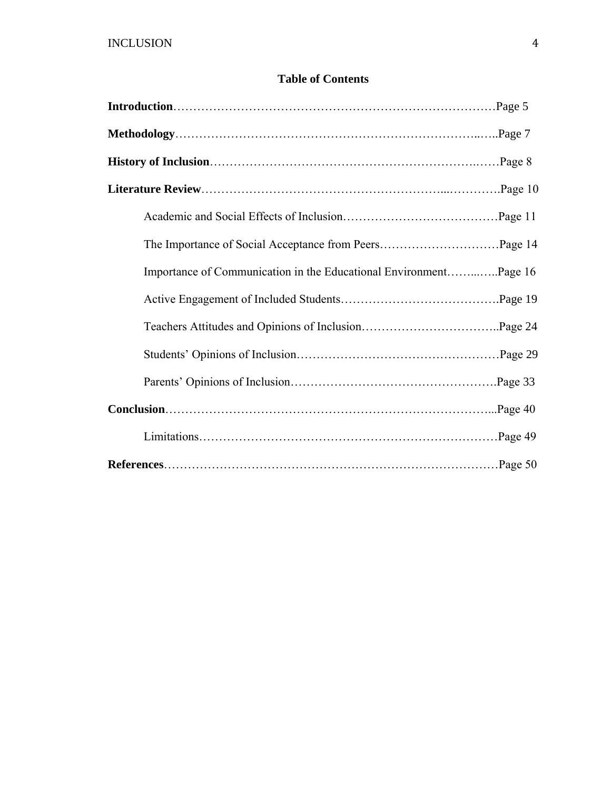## **Table of Contents**

| Importance of Communication in the Educational EnvironmentPage 16 |
|-------------------------------------------------------------------|
|                                                                   |
|                                                                   |
|                                                                   |
|                                                                   |
|                                                                   |
|                                                                   |
|                                                                   |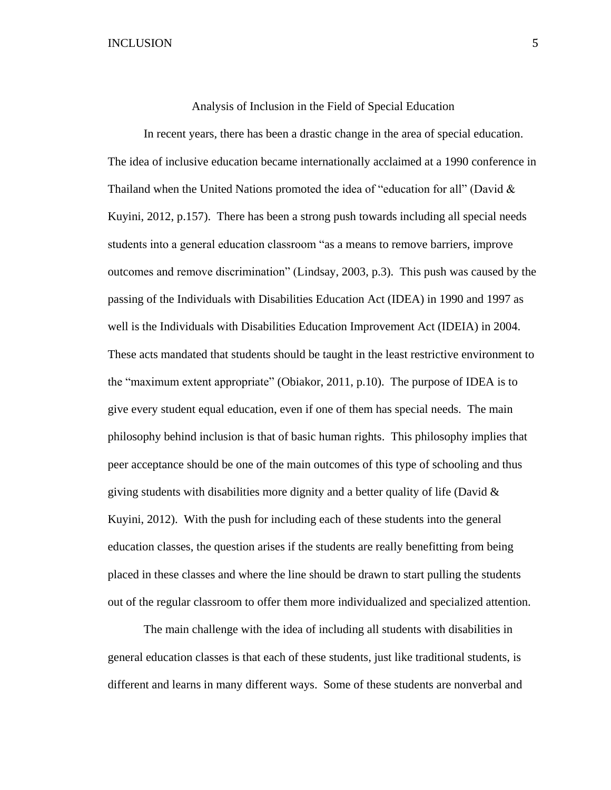Analysis of Inclusion in the Field of Special Education

In recent years, there has been a drastic change in the area of special education. The idea of inclusive education became internationally acclaimed at a 1990 conference in Thailand when the United Nations promoted the idea of "education for all" (David  $\&$ Kuyini, 2012, p.157). There has been a strong push towards including all special needs students into a general education classroom "as a means to remove barriers, improve outcomes and remove discrimination" (Lindsay, 2003, p.3). This push was caused by the passing of the Individuals with Disabilities Education Act (IDEA) in 1990 and 1997 as well is the Individuals with Disabilities Education Improvement Act (IDEIA) in 2004. These acts mandated that students should be taught in the least restrictive environment to the "maximum extent appropriate" (Obiakor, 2011, p.10). The purpose of IDEA is to give every student equal education, even if one of them has special needs. The main philosophy behind inclusion is that of basic human rights. This philosophy implies that peer acceptance should be one of the main outcomes of this type of schooling and thus giving students with disabilities more dignity and a better quality of life (David  $\&$ Kuyini, 2012). With the push for including each of these students into the general education classes, the question arises if the students are really benefitting from being placed in these classes and where the line should be drawn to start pulling the students out of the regular classroom to offer them more individualized and specialized attention.

The main challenge with the idea of including all students with disabilities in general education classes is that each of these students, just like traditional students, is different and learns in many different ways. Some of these students are nonverbal and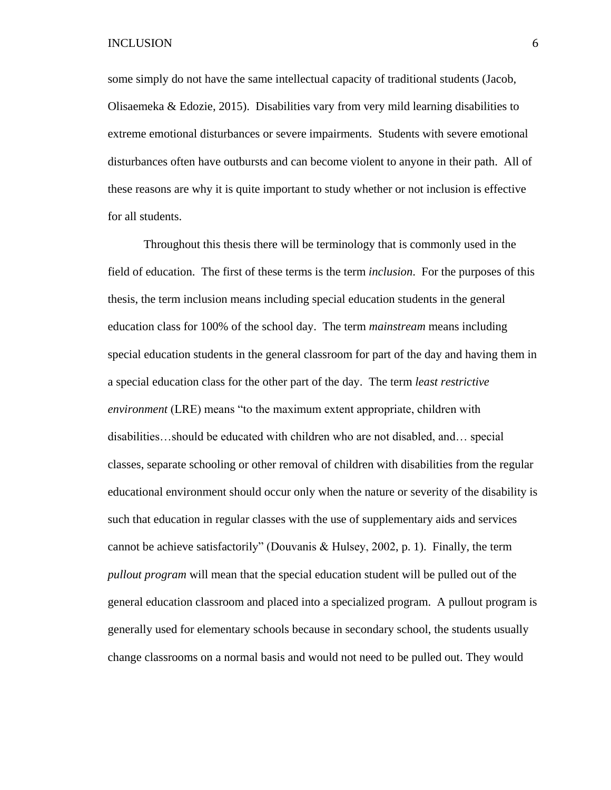some simply do not have the same intellectual capacity of traditional students (Jacob, Olisaemeka  $\&$  Edozie, 2015). Disabilities vary from very mild learning disabilities to extreme emotional disturbances or severe impairments. Students with severe emotional disturbances often have outbursts and can become violent to anyone in their path. All of these reasons are why it is quite important to study whether or not inclusion is effective for all students.

Throughout this thesis there will be terminology that is commonly used in the field of education. The first of these terms is the term *inclusion*. For the purposes of this thesis, the term inclusion means including special education students in the general education class for 100% of the school day. The term *mainstream* means including special education students in the general classroom for part of the day and having them in a special education class for the other part of the day. The term *least restrictive environment* (LRE) means "to the maximum extent appropriate, children with disabilities…should be educated with children who are not disabled, and… special classes, separate schooling or other removal of children with disabilities from the regular educational environment should occur only when the nature or severity of the disability is such that education in regular classes with the use of supplementary aids and services cannot be achieve satisfactorily" (Douvanis & Hulsey, 2002, p. 1). Finally, the term *pullout program* will mean that the special education student will be pulled out of the general education classroom and placed into a specialized program. A pullout program is generally used for elementary schools because in secondary school, the students usually change classrooms on a normal basis and would not need to be pulled out. They would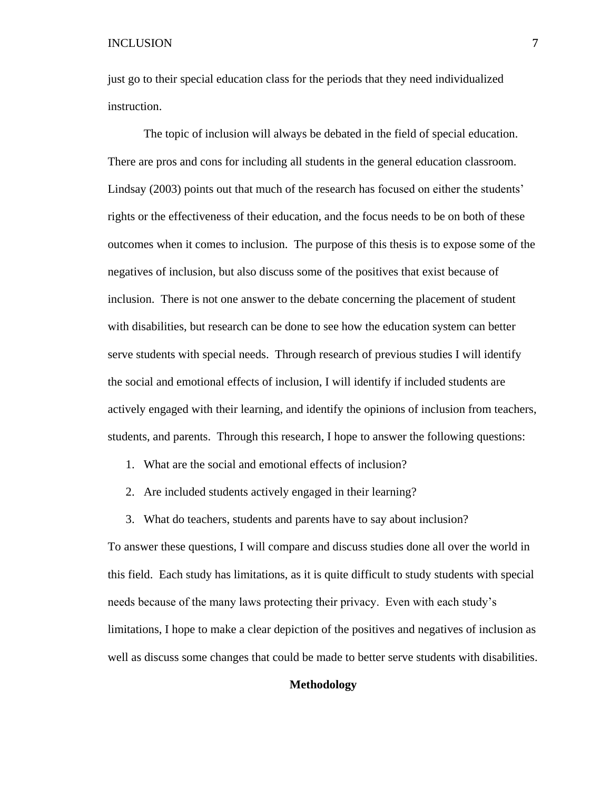just go to their special education class for the periods that they need individualized instruction.

The topic of inclusion will always be debated in the field of special education. There are pros and cons for including all students in the general education classroom. Lindsay (2003) points out that much of the research has focused on either the students' rights or the effectiveness of their education, and the focus needs to be on both of these outcomes when it comes to inclusion. The purpose of this thesis is to expose some of the negatives of inclusion, but also discuss some of the positives that exist because of inclusion. There is not one answer to the debate concerning the placement of student with disabilities, but research can be done to see how the education system can better serve students with special needs. Through research of previous studies I will identify the social and emotional effects of inclusion, I will identify if included students are actively engaged with their learning, and identify the opinions of inclusion from teachers, students, and parents. Through this research, I hope to answer the following questions:

- 1. What are the social and emotional effects of inclusion?
- 2. Are included students actively engaged in their learning?
- 3. What do teachers, students and parents have to say about inclusion?

To answer these questions, I will compare and discuss studies done all over the world in this field. Each study has limitations, as it is quite difficult to study students with special needs because of the many laws protecting their privacy. Even with each study's limitations, I hope to make a clear depiction of the positives and negatives of inclusion as well as discuss some changes that could be made to better serve students with disabilities.

## **Methodology**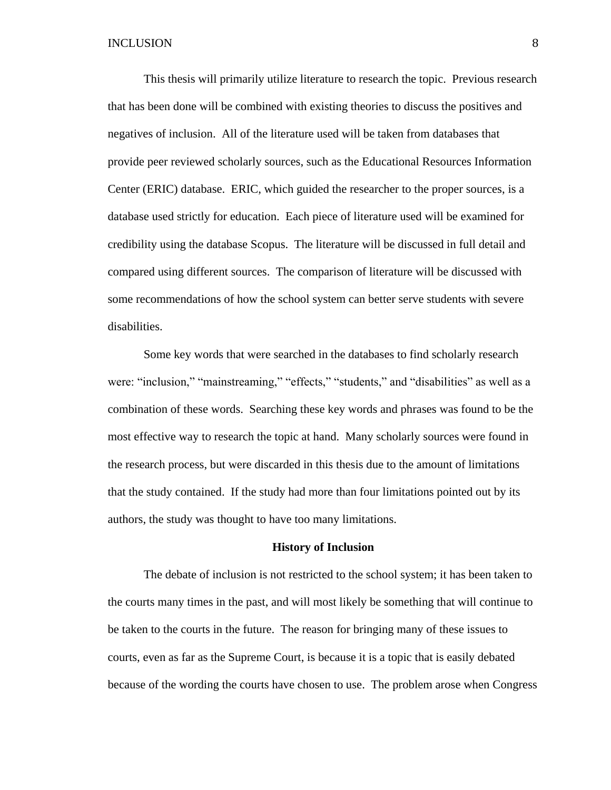This thesis will primarily utilize literature to research the topic. Previous research that has been done will be combined with existing theories to discuss the positives and negatives of inclusion. All of the literature used will be taken from databases that provide peer reviewed scholarly sources, such as the Educational Resources Information Center (ERIC) database. ERIC, which guided the researcher to the proper sources, is a database used strictly for education. Each piece of literature used will be examined for credibility using the database Scopus. The literature will be discussed in full detail and compared using different sources. The comparison of literature will be discussed with some recommendations of how the school system can better serve students with severe disabilities.

Some key words that were searched in the databases to find scholarly research were: "inclusion," "mainstreaming," "effects," "students," and "disabilities" as well as a combination of these words. Searching these key words and phrases was found to be the most effective way to research the topic at hand. Many scholarly sources were found in the research process, but were discarded in this thesis due to the amount of limitations that the study contained. If the study had more than four limitations pointed out by its authors, the study was thought to have too many limitations.

#### **History of Inclusion**

The debate of inclusion is not restricted to the school system; it has been taken to the courts many times in the past, and will most likely be something that will continue to be taken to the courts in the future. The reason for bringing many of these issues to courts, even as far as the Supreme Court, is because it is a topic that is easily debated because of the wording the courts have chosen to use. The problem arose when Congress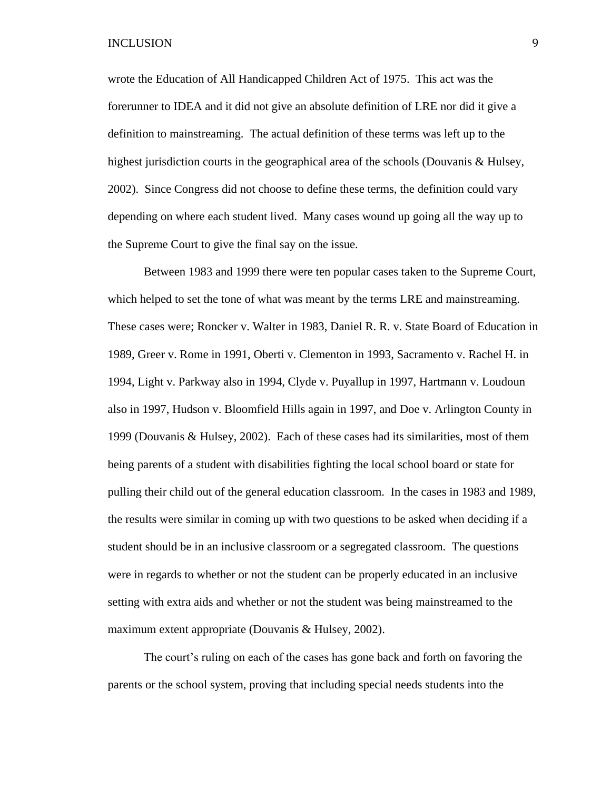wrote the Education of All Handicapped Children Act of 1975. This act was the forerunner to IDEA and it did not give an absolute definition of LRE nor did it give a definition to mainstreaming. The actual definition of these terms was left up to the highest jurisdiction courts in the geographical area of the schools (Douvanis & Hulsey, 2002). Since Congress did not choose to define these terms, the definition could vary depending on where each student lived. Many cases wound up going all the way up to the Supreme Court to give the final say on the issue.

Between 1983 and 1999 there were ten popular cases taken to the Supreme Court, which helped to set the tone of what was meant by the terms LRE and mainstreaming. These cases were; Roncker v. Walter in 1983, Daniel R. R. v. State Board of Education in 1989, Greer v. Rome in 1991, Oberti v. Clementon in 1993, Sacramento v. Rachel H. in 1994, Light v. Parkway also in 1994, Clyde v. Puyallup in 1997, Hartmann v. Loudoun also in 1997, Hudson v. Bloomfield Hills again in 1997, and Doe v. Arlington County in 1999 (Douvanis & Hulsey, 2002). Each of these cases had its similarities, most of them being parents of a student with disabilities fighting the local school board or state for pulling their child out of the general education classroom. In the cases in 1983 and 1989, the results were similar in coming up with two questions to be asked when deciding if a student should be in an inclusive classroom or a segregated classroom. The questions were in regards to whether or not the student can be properly educated in an inclusive setting with extra aids and whether or not the student was being mainstreamed to the maximum extent appropriate (Douvanis & Hulsey, 2002).

The court's ruling on each of the cases has gone back and forth on favoring the parents or the school system, proving that including special needs students into the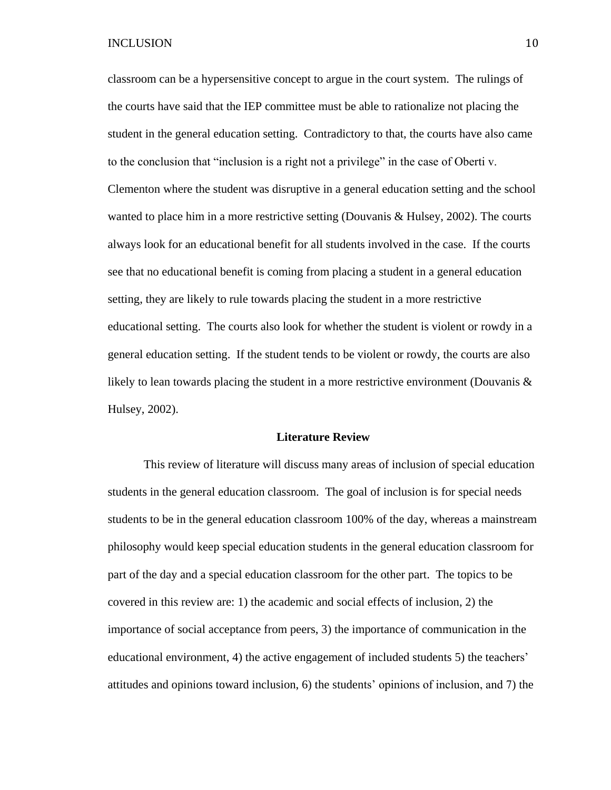classroom can be a hypersensitive concept to argue in the court system. The rulings of the courts have said that the IEP committee must be able to rationalize not placing the student in the general education setting. Contradictory to that, the courts have also came to the conclusion that "inclusion is a right not a privilege" in the case of Oberti v. Clementon where the student was disruptive in a general education setting and the school wanted to place him in a more restrictive setting (Douvanis & Hulsey, 2002). The courts always look for an educational benefit for all students involved in the case. If the courts see that no educational benefit is coming from placing a student in a general education setting, they are likely to rule towards placing the student in a more restrictive educational setting. The courts also look for whether the student is violent or rowdy in a general education setting. If the student tends to be violent or rowdy, the courts are also likely to lean towards placing the student in a more restrictive environment (Douvanis  $\&$ Hulsey, 2002).

#### **Literature Review**

This review of literature will discuss many areas of inclusion of special education students in the general education classroom. The goal of inclusion is for special needs students to be in the general education classroom 100% of the day, whereas a mainstream philosophy would keep special education students in the general education classroom for part of the day and a special education classroom for the other part. The topics to be covered in this review are: 1) the academic and social effects of inclusion, 2) the importance of social acceptance from peers, 3) the importance of communication in the educational environment, 4) the active engagement of included students 5) the teachers' attitudes and opinions toward inclusion, 6) the students' opinions of inclusion, and 7) the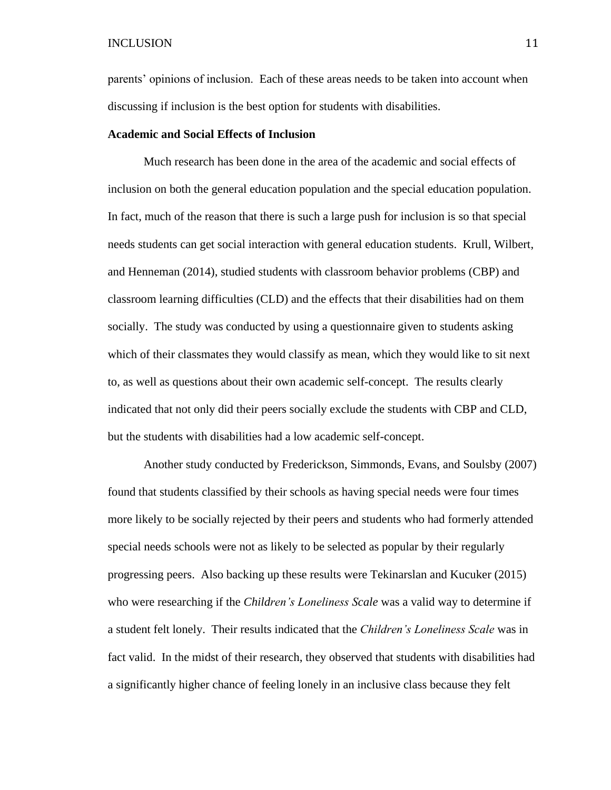parents' opinions of inclusion. Each of these areas needs to be taken into account when discussing if inclusion is the best option for students with disabilities.

#### **Academic and Social Effects of Inclusion**

Much research has been done in the area of the academic and social effects of inclusion on both the general education population and the special education population. In fact, much of the reason that there is such a large push for inclusion is so that special needs students can get social interaction with general education students. Krull, Wilbert, and Henneman (2014), studied students with classroom behavior problems (CBP) and classroom learning difficulties (CLD) and the effects that their disabilities had on them socially. The study was conducted by using a questionnaire given to students asking which of their classmates they would classify as mean, which they would like to sit next to, as well as questions about their own academic self-concept. The results clearly indicated that not only did their peers socially exclude the students with CBP and CLD, but the students with disabilities had a low academic self-concept.

Another study conducted by Frederickson, Simmonds, Evans, and Soulsby (2007) found that students classified by their schools as having special needs were four times more likely to be socially rejected by their peers and students who had formerly attended special needs schools were not as likely to be selected as popular by their regularly progressing peers. Also backing up these results were Tekinarslan and Kucuker (2015) who were researching if the *Children's Loneliness Scale* was a valid way to determine if a student felt lonely. Their results indicated that the *Children's Loneliness Scale* was in fact valid. In the midst of their research, they observed that students with disabilities had a significantly higher chance of feeling lonely in an inclusive class because they felt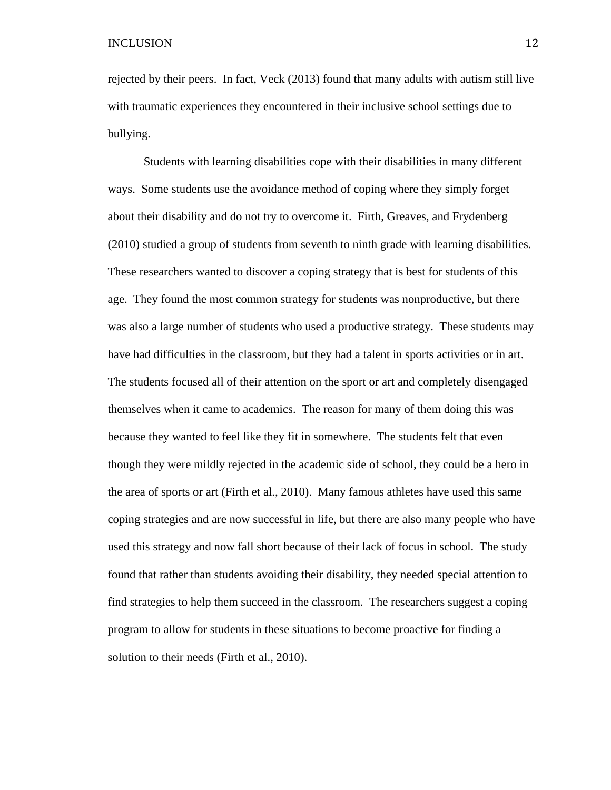rejected by their peers. In fact, Veck (2013) found that many adults with autism still live with traumatic experiences they encountered in their inclusive school settings due to bullying.

Students with learning disabilities cope with their disabilities in many different ways. Some students use the avoidance method of coping where they simply forget about their disability and do not try to overcome it. Firth, Greaves, and Frydenberg (2010) studied a group of students from seventh to ninth grade with learning disabilities. These researchers wanted to discover a coping strategy that is best for students of this age. They found the most common strategy for students was nonproductive, but there was also a large number of students who used a productive strategy. These students may have had difficulties in the classroom, but they had a talent in sports activities or in art. The students focused all of their attention on the sport or art and completely disengaged themselves when it came to academics. The reason for many of them doing this was because they wanted to feel like they fit in somewhere. The students felt that even though they were mildly rejected in the academic side of school, they could be a hero in the area of sports or art (Firth et al., 2010). Many famous athletes have used this same coping strategies and are now successful in life, but there are also many people who have used this strategy and now fall short because of their lack of focus in school. The study found that rather than students avoiding their disability, they needed special attention to find strategies to help them succeed in the classroom. The researchers suggest a coping program to allow for students in these situations to become proactive for finding a solution to their needs (Firth et al., 2010).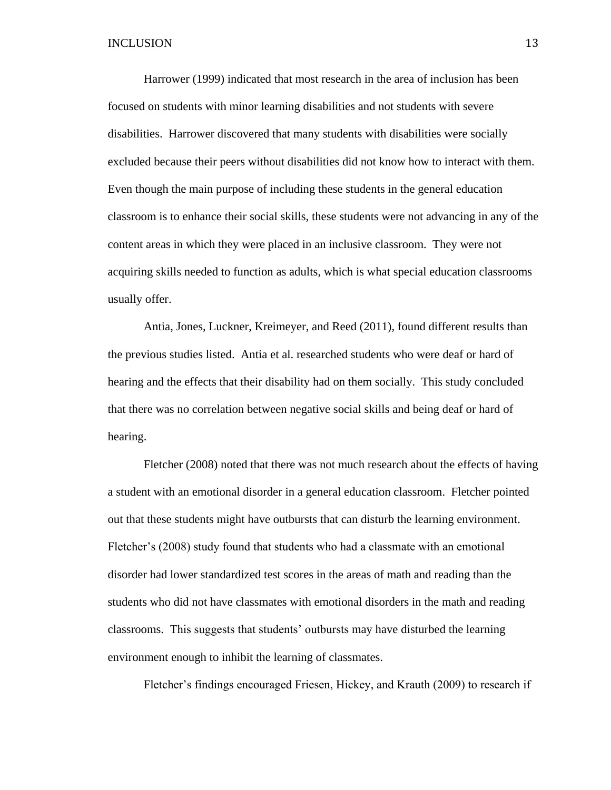Harrower (1999) indicated that most research in the area of inclusion has been focused on students with minor learning disabilities and not students with severe disabilities. Harrower discovered that many students with disabilities were socially excluded because their peers without disabilities did not know how to interact with them. Even though the main purpose of including these students in the general education classroom is to enhance their social skills, these students were not advancing in any of the content areas in which they were placed in an inclusive classroom. They were not acquiring skills needed to function as adults, which is what special education classrooms usually offer.

Antia, Jones, Luckner, Kreimeyer, and Reed (2011), found different results than the previous studies listed. Antia et al. researched students who were deaf or hard of hearing and the effects that their disability had on them socially. This study concluded that there was no correlation between negative social skills and being deaf or hard of hearing.

Fletcher (2008) noted that there was not much research about the effects of having a student with an emotional disorder in a general education classroom. Fletcher pointed out that these students might have outbursts that can disturb the learning environment. Fletcher's (2008) study found that students who had a classmate with an emotional disorder had lower standardized test scores in the areas of math and reading than the students who did not have classmates with emotional disorders in the math and reading classrooms. This suggests that students' outbursts may have disturbed the learning environment enough to inhibit the learning of classmates.

Fletcher's findings encouraged Friesen, Hickey, and Krauth (2009) to research if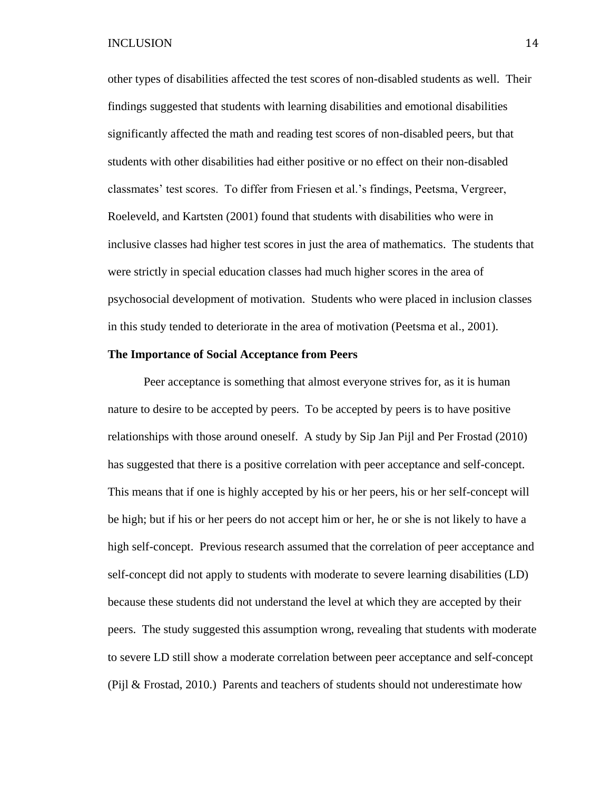other types of disabilities affected the test scores of non-disabled students as well. Their findings suggested that students with learning disabilities and emotional disabilities significantly affected the math and reading test scores of non-disabled peers, but that students with other disabilities had either positive or no effect on their non-disabled classmates' test scores. To differ from Friesen et al.'s findings, Peetsma, Vergreer, Roeleveld, and Kartsten (2001) found that students with disabilities who were in inclusive classes had higher test scores in just the area of mathematics. The students that were strictly in special education classes had much higher scores in the area of psychosocial development of motivation. Students who were placed in inclusion classes in this study tended to deteriorate in the area of motivation (Peetsma et al., 2001).

#### **The Importance of Social Acceptance from Peers**

Peer acceptance is something that almost everyone strives for, as it is human nature to desire to be accepted by peers. To be accepted by peers is to have positive relationships with those around oneself. A study by Sip Jan Pijl and Per Frostad (2010) has suggested that there is a positive correlation with peer acceptance and self-concept. This means that if one is highly accepted by his or her peers, his or her self-concept will be high; but if his or her peers do not accept him or her, he or she is not likely to have a high self-concept. Previous research assumed that the correlation of peer acceptance and self-concept did not apply to students with moderate to severe learning disabilities (LD) because these students did not understand the level at which they are accepted by their peers. The study suggested this assumption wrong, revealing that students with moderate to severe LD still show a moderate correlation between peer acceptance and self-concept (Pijl & Frostad, 2010.) Parents and teachers of students should not underestimate how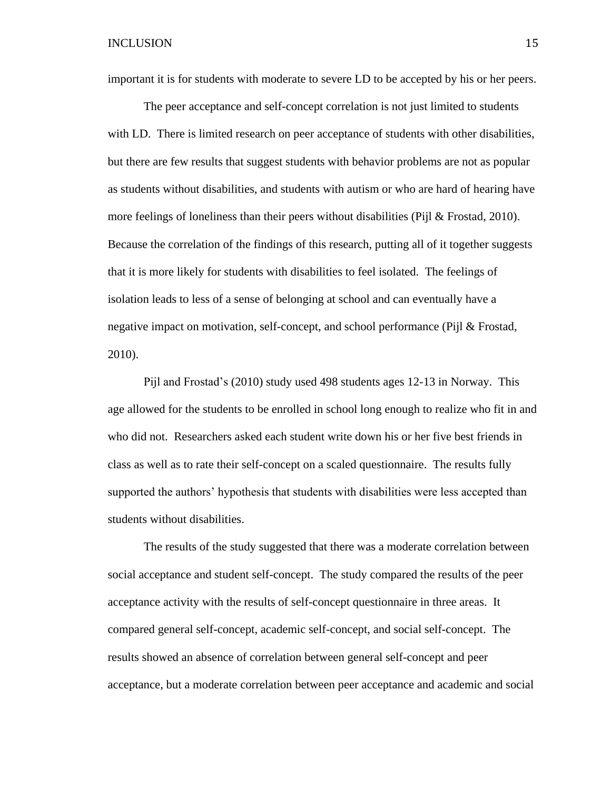important it is for students with moderate to severe LD to be accepted by his or her peers.

The peer acceptance and self-concept correlation is not just limited to students with LD. There is limited research on peer acceptance of students with other disabilities, but there are few results that suggest students with behavior problems are not as popular as students without disabilities, and students with autism or who are hard of hearing have more feelings of loneliness than their peers without disabilities (Pijl & Frostad, 2010). Because the correlation of the findings of this research, putting all of it together suggests that it is more likely for students with disabilities to feel isolated. The feelings of isolation leads to less of a sense of belonging at school and can eventually have a negative impact on motivation, self-concept, and school performance (Pijl & Frostad, 2010).

Pijl and Frostad's (2010) study used 498 students ages 12-13 in Norway. This age allowed for the students to be enrolled in school long enough to realize who fit in and who did not. Researchers asked each student write down his or her five best friends in class as well as to rate their self-concept on a scaled questionnaire. The results fully supported the authors' hypothesis that students with disabilities were less accepted than students without disabilities.

The results of the study suggested that there was a moderate correlation between social acceptance and student self-concept. The study compared the results of the peer acceptance activity with the results of self-concept questionnaire in three areas. It compared general self-concept, academic self-concept, and social self-concept. The results showed an absence of correlation between general self-concept and peer acceptance, but a moderate correlation between peer acceptance and academic and social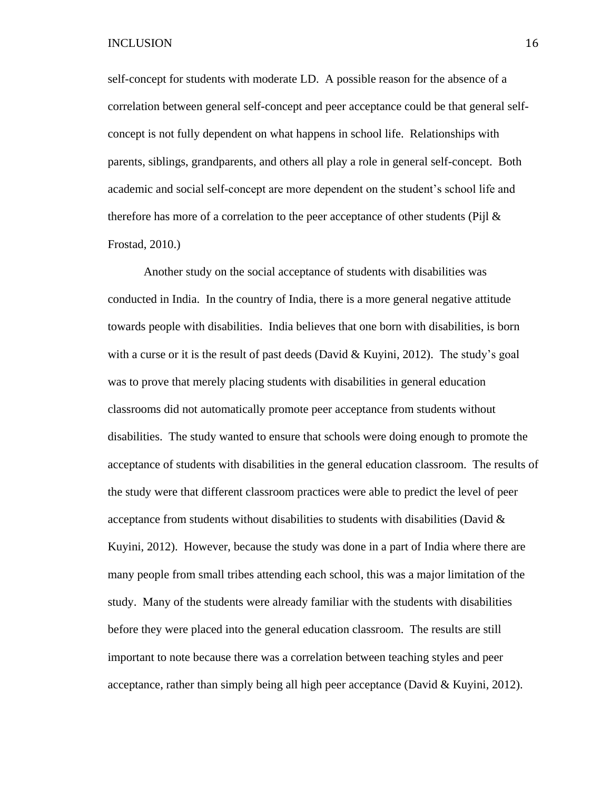self-concept for students with moderate LD. A possible reason for the absence of a correlation between general self-concept and peer acceptance could be that general selfconcept is not fully dependent on what happens in school life. Relationships with parents, siblings, grandparents, and others all play a role in general self-concept. Both academic and social self-concept are more dependent on the student's school life and therefore has more of a correlation to the peer acceptance of other students (Pijl  $\&$ Frostad, 2010.)

Another study on the social acceptance of students with disabilities was conducted in India. In the country of India, there is a more general negative attitude towards people with disabilities. India believes that one born with disabilities, is born with a curse or it is the result of past deeds (David  $& Kuyini, 2012$ ). The study's goal was to prove that merely placing students with disabilities in general education classrooms did not automatically promote peer acceptance from students without disabilities. The study wanted to ensure that schools were doing enough to promote the acceptance of students with disabilities in the general education classroom. The results of the study were that different classroom practices were able to predict the level of peer acceptance from students without disabilities to students with disabilities (David  $\&$ Kuyini, 2012). However, because the study was done in a part of India where there are many people from small tribes attending each school, this was a major limitation of the study. Many of the students were already familiar with the students with disabilities before they were placed into the general education classroom. The results are still important to note because there was a correlation between teaching styles and peer acceptance, rather than simply being all high peer acceptance (David  $&$  Kuyini, 2012).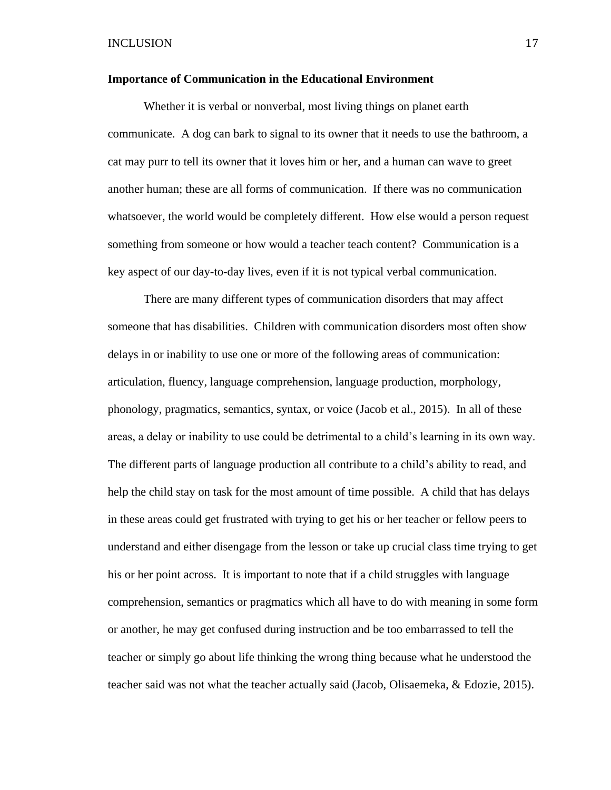#### **Importance of Communication in the Educational Environment**

Whether it is verbal or nonverbal, most living things on planet earth communicate. A dog can bark to signal to its owner that it needs to use the bathroom, a cat may purr to tell its owner that it loves him or her, and a human can wave to greet another human; these are all forms of communication. If there was no communication whatsoever, the world would be completely different. How else would a person request something from someone or how would a teacher teach content? Communication is a key aspect of our day-to-day lives, even if it is not typical verbal communication.

There are many different types of communication disorders that may affect someone that has disabilities. Children with communication disorders most often show delays in or inability to use one or more of the following areas of communication: articulation, fluency, language comprehension, language production, morphology, phonology, pragmatics, semantics, syntax, or voice (Jacob et al., 2015). In all of these areas, a delay or inability to use could be detrimental to a child's learning in its own way. The different parts of language production all contribute to a child's ability to read, and help the child stay on task for the most amount of time possible. A child that has delays in these areas could get frustrated with trying to get his or her teacher or fellow peers to understand and either disengage from the lesson or take up crucial class time trying to get his or her point across. It is important to note that if a child struggles with language comprehension, semantics or pragmatics which all have to do with meaning in some form or another, he may get confused during instruction and be too embarrassed to tell the teacher or simply go about life thinking the wrong thing because what he understood the teacher said was not what the teacher actually said (Jacob, Olisaemeka, & Edozie, 2015).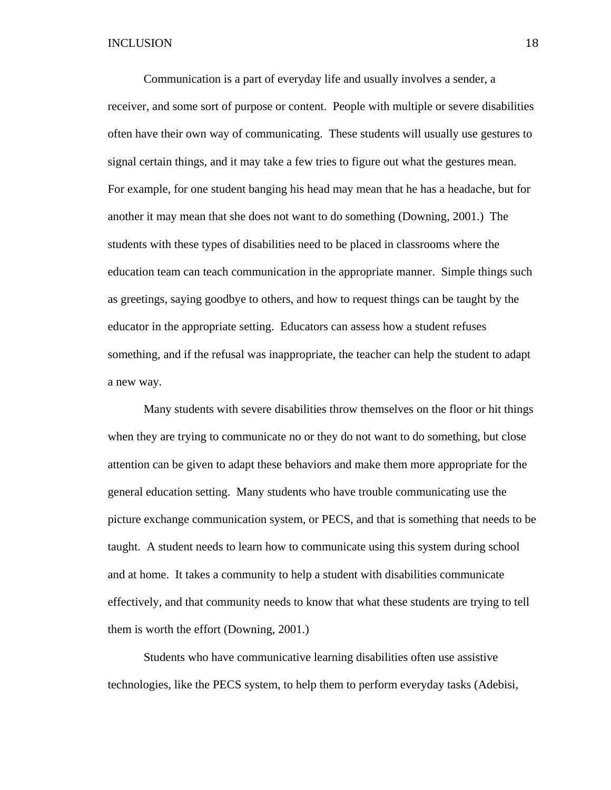Communication is a part of everyday life and usually involves a sender, a receiver, and some sort of purpose or content. People with multiple or severe disabilities often have their own way of communicating. These students will usually use gestures to signal certain things, and it may take a few tries to figure out what the gestures mean. For example, for one student banging his head may mean that he has a headache, but for another it may mean that she does not want to do something (Downing, 2001.) The students with these types of disabilities need to be placed in classrooms where the education team can teach communication in the appropriate manner. Simple things such as greetings, saying goodbye to others, and how to request things can be taught by the educator in the appropriate setting. Educators can assess how a student refuses something, and if the refusal was inappropriate, the teacher can help the student to adapt a new way.

Many students with severe disabilities throw themselves on the floor or hit things when they are trying to communicate no or they do not want to do something, but close attention can be given to adapt these behaviors and make them more appropriate for the general education setting. Many students who have trouble communicating use the picture exchange communication system, or PECS, and that is something that needs to be taught. A student needs to learn how to communicate using this system during school and at home. It takes a community to help a student with disabilities communicate effectively, and that community needs to know that what these students are trying to tell them is worth the effort (Downing, 2001.)

Students who have communicative learning disabilities often use assistive technologies, like the PECS system, to help them to perform everyday tasks (Adebisi,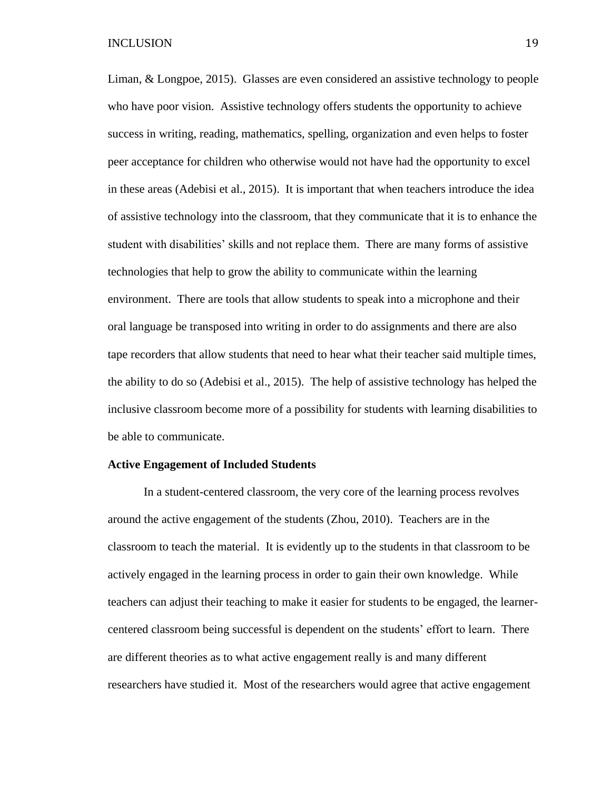Liman, & Longpoe, 2015). Glasses are even considered an assistive technology to people who have poor vision. Assistive technology offers students the opportunity to achieve success in writing, reading, mathematics, spelling, organization and even helps to foster peer acceptance for children who otherwise would not have had the opportunity to excel in these areas (Adebisi et al., 2015). It is important that when teachers introduce the idea of assistive technology into the classroom, that they communicate that it is to enhance the student with disabilities' skills and not replace them. There are many forms of assistive technologies that help to grow the ability to communicate within the learning environment. There are tools that allow students to speak into a microphone and their oral language be transposed into writing in order to do assignments and there are also tape recorders that allow students that need to hear what their teacher said multiple times, the ability to do so (Adebisi et al., 2015). The help of assistive technology has helped the inclusive classroom become more of a possibility for students with learning disabilities to be able to communicate.

#### **Active Engagement of Included Students**

In a student-centered classroom, the very core of the learning process revolves around the active engagement of the students (Zhou, 2010). Teachers are in the classroom to teach the material. It is evidently up to the students in that classroom to be actively engaged in the learning process in order to gain their own knowledge. While teachers can adjust their teaching to make it easier for students to be engaged, the learnercentered classroom being successful is dependent on the students' effort to learn. There are different theories as to what active engagement really is and many different researchers have studied it. Most of the researchers would agree that active engagement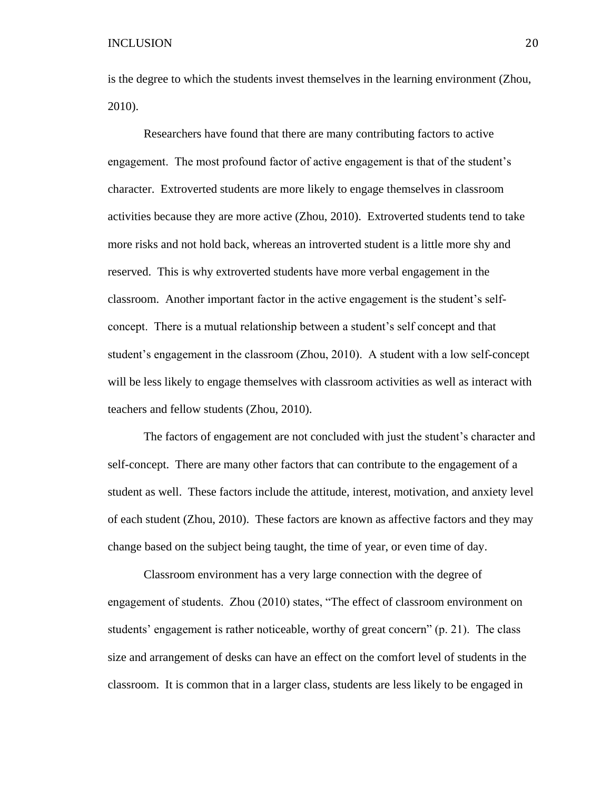is the degree to which the students invest themselves in the learning environment (Zhou, 2010).

Researchers have found that there are many contributing factors to active engagement. The most profound factor of active engagement is that of the student's character. Extroverted students are more likely to engage themselves in classroom activities because they are more active (Zhou, 2010). Extroverted students tend to take more risks and not hold back, whereas an introverted student is a little more shy and reserved. This is why extroverted students have more verbal engagement in the classroom. Another important factor in the active engagement is the student's selfconcept. There is a mutual relationship between a student's self concept and that student's engagement in the classroom (Zhou, 2010). A student with a low self-concept will be less likely to engage themselves with classroom activities as well as interact with teachers and fellow students (Zhou, 2010).

The factors of engagement are not concluded with just the student's character and self-concept. There are many other factors that can contribute to the engagement of a student as well. These factors include the attitude, interest, motivation, and anxiety level of each student (Zhou, 2010). These factors are known as affective factors and they may change based on the subject being taught, the time of year, or even time of day.

Classroom environment has a very large connection with the degree of engagement of students. Zhou (2010) states, "The effect of classroom environment on students' engagement is rather noticeable, worthy of great concern" (p. 21). The class size and arrangement of desks can have an effect on the comfort level of students in the classroom. It is common that in a larger class, students are less likely to be engaged in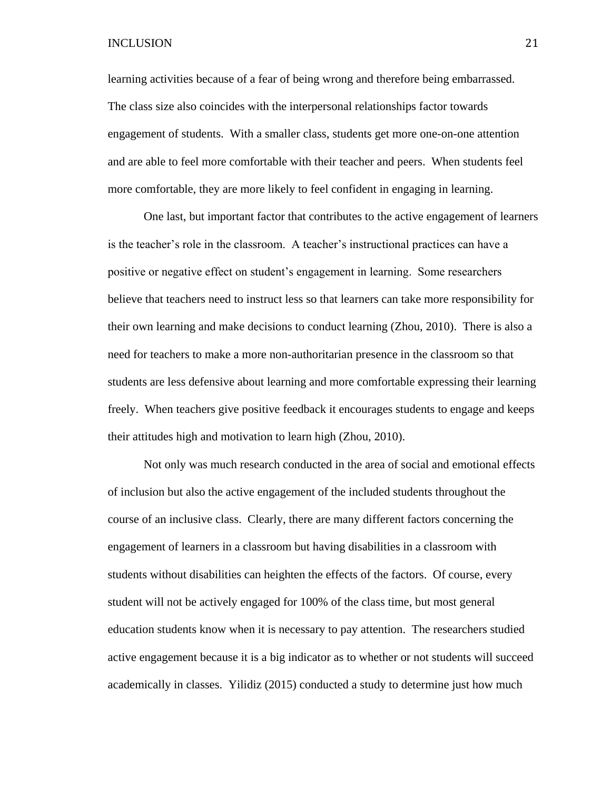learning activities because of a fear of being wrong and therefore being embarrassed. The class size also coincides with the interpersonal relationships factor towards engagement of students. With a smaller class, students get more one-on-one attention and are able to feel more comfortable with their teacher and peers. When students feel more comfortable, they are more likely to feel confident in engaging in learning.

One last, but important factor that contributes to the active engagement of learners is the teacher's role in the classroom. A teacher's instructional practices can have a positive or negative effect on student's engagement in learning. Some researchers believe that teachers need to instruct less so that learners can take more responsibility for their own learning and make decisions to conduct learning (Zhou, 2010). There is also a need for teachers to make a more non-authoritarian presence in the classroom so that students are less defensive about learning and more comfortable expressing their learning freely. When teachers give positive feedback it encourages students to engage and keeps their attitudes high and motivation to learn high (Zhou, 2010).

Not only was much research conducted in the area of social and emotional effects of inclusion but also the active engagement of the included students throughout the course of an inclusive class. Clearly, there are many different factors concerning the engagement of learners in a classroom but having disabilities in a classroom with students without disabilities can heighten the effects of the factors. Of course, every student will not be actively engaged for 100% of the class time, but most general education students know when it is necessary to pay attention. The researchers studied active engagement because it is a big indicator as to whether or not students will succeed academically in classes. Yilidiz (2015) conducted a study to determine just how much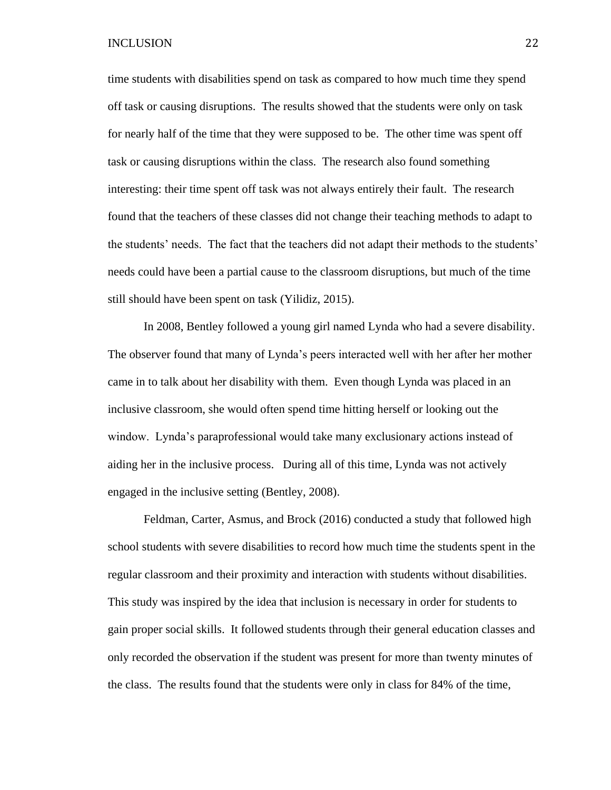time students with disabilities spend on task as compared to how much time they spend off task or causing disruptions. The results showed that the students were only on task for nearly half of the time that they were supposed to be. The other time was spent off task or causing disruptions within the class. The research also found something interesting: their time spent off task was not always entirely their fault. The research found that the teachers of these classes did not change their teaching methods to adapt to the students' needs. The fact that the teachers did not adapt their methods to the students' needs could have been a partial cause to the classroom disruptions, but much of the time still should have been spent on task (Yilidiz, 2015).

In 2008, Bentley followed a young girl named Lynda who had a severe disability. The observer found that many of Lynda's peers interacted well with her after her mother came in to talk about her disability with them. Even though Lynda was placed in an inclusive classroom, she would often spend time hitting herself or looking out the window. Lynda's paraprofessional would take many exclusionary actions instead of aiding her in the inclusive process. During all of this time, Lynda was not actively engaged in the inclusive setting (Bentley, 2008).

Feldman, Carter, Asmus, and Brock (2016) conducted a study that followed high school students with severe disabilities to record how much time the students spent in the regular classroom and their proximity and interaction with students without disabilities. This study was inspired by the idea that inclusion is necessary in order for students to gain proper social skills. It followed students through their general education classes and only recorded the observation if the student was present for more than twenty minutes of the class. The results found that the students were only in class for 84% of the time,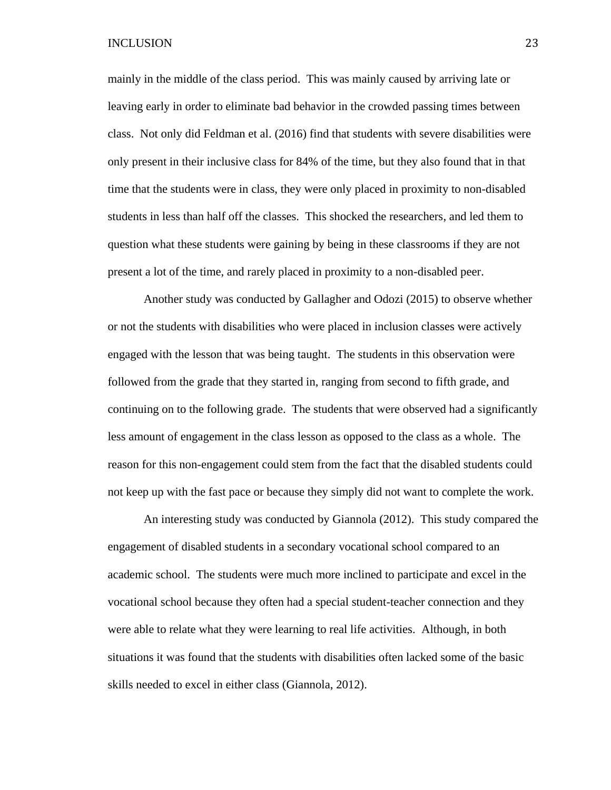mainly in the middle of the class period. This was mainly caused by arriving late or leaving early in order to eliminate bad behavior in the crowded passing times between class. Not only did Feldman et al. (2016) find that students with severe disabilities were only present in their inclusive class for 84% of the time, but they also found that in that time that the students were in class, they were only placed in proximity to non-disabled students in less than half off the classes. This shocked the researchers, and led them to question what these students were gaining by being in these classrooms if they are not present a lot of the time, and rarely placed in proximity to a non-disabled peer.

Another study was conducted by Gallagher and Odozi (2015) to observe whether or not the students with disabilities who were placed in inclusion classes were actively engaged with the lesson that was being taught. The students in this observation were followed from the grade that they started in, ranging from second to fifth grade, and continuing on to the following grade. The students that were observed had a significantly less amount of engagement in the class lesson as opposed to the class as a whole. The reason for this non-engagement could stem from the fact that the disabled students could not keep up with the fast pace or because they simply did not want to complete the work.

An interesting study was conducted by Giannola (2012). This study compared the engagement of disabled students in a secondary vocational school compared to an academic school. The students were much more inclined to participate and excel in the vocational school because they often had a special student-teacher connection and they were able to relate what they were learning to real life activities. Although, in both situations it was found that the students with disabilities often lacked some of the basic skills needed to excel in either class (Giannola, 2012).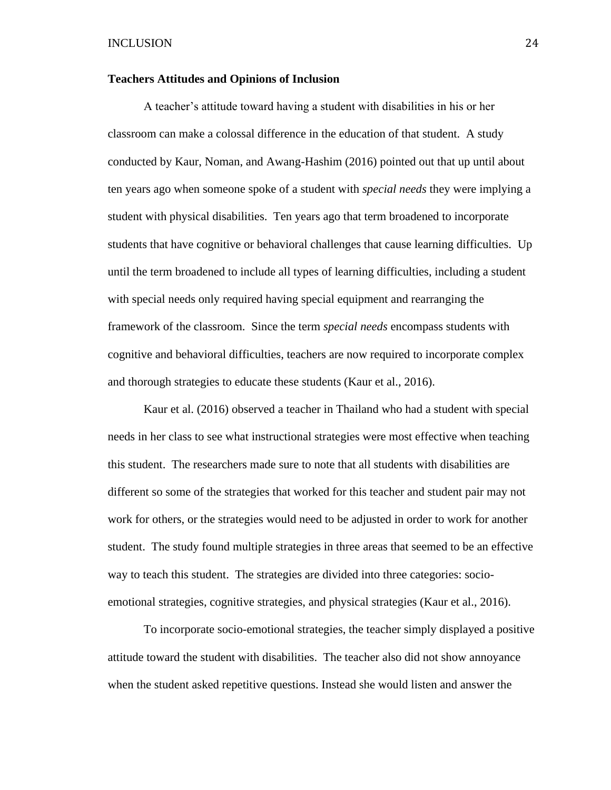#### **Teachers Attitudes and Opinions of Inclusion**

A teacher's attitude toward having a student with disabilities in his or her classroom can make a colossal difference in the education of that student. A study conducted by Kaur, Noman, and Awang-Hashim (2016) pointed out that up until about ten years ago when someone spoke of a student with *special needs* they were implying a student with physical disabilities. Ten years ago that term broadened to incorporate students that have cognitive or behavioral challenges that cause learning difficulties. Up until the term broadened to include all types of learning difficulties, including a student with special needs only required having special equipment and rearranging the framework of the classroom. Since the term *special needs* encompass students with cognitive and behavioral difficulties, teachers are now required to incorporate complex and thorough strategies to educate these students (Kaur et al., 2016).

Kaur et al. (2016) observed a teacher in Thailand who had a student with special needs in her class to see what instructional strategies were most effective when teaching this student. The researchers made sure to note that all students with disabilities are different so some of the strategies that worked for this teacher and student pair may not work for others, or the strategies would need to be adjusted in order to work for another student. The study found multiple strategies in three areas that seemed to be an effective way to teach this student. The strategies are divided into three categories: socioemotional strategies, cognitive strategies, and physical strategies (Kaur et al., 2016).

To incorporate socio-emotional strategies, the teacher simply displayed a positive attitude toward the student with disabilities. The teacher also did not show annoyance when the student asked repetitive questions. Instead she would listen and answer the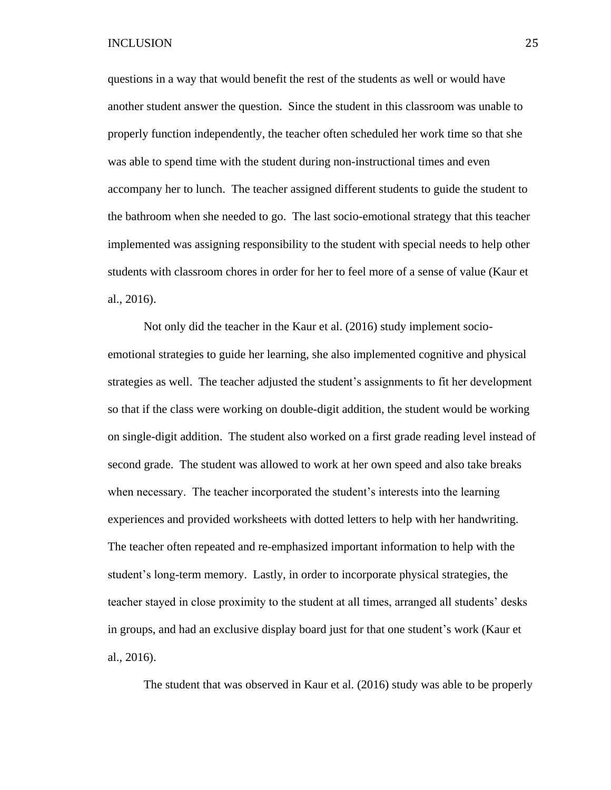questions in a way that would benefit the rest of the students as well or would have another student answer the question. Since the student in this classroom was unable to properly function independently, the teacher often scheduled her work time so that she was able to spend time with the student during non-instructional times and even accompany her to lunch. The teacher assigned different students to guide the student to the bathroom when she needed to go. The last socio-emotional strategy that this teacher implemented was assigning responsibility to the student with special needs to help other students with classroom chores in order for her to feel more of a sense of value (Kaur et al., 2016).

Not only did the teacher in the Kaur et al. (2016) study implement socioemotional strategies to guide her learning, she also implemented cognitive and physical strategies as well. The teacher adjusted the student's assignments to fit her development so that if the class were working on double-digit addition, the student would be working on single-digit addition. The student also worked on a first grade reading level instead of second grade. The student was allowed to work at her own speed and also take breaks when necessary. The teacher incorporated the student's interests into the learning experiences and provided worksheets with dotted letters to help with her handwriting. The teacher often repeated and re-emphasized important information to help with the student's long-term memory. Lastly, in order to incorporate physical strategies, the teacher stayed in close proximity to the student at all times, arranged all students' desks in groups, and had an exclusive display board just for that one student's work (Kaur et al., 2016).

The student that was observed in Kaur et al. (2016) study was able to be properly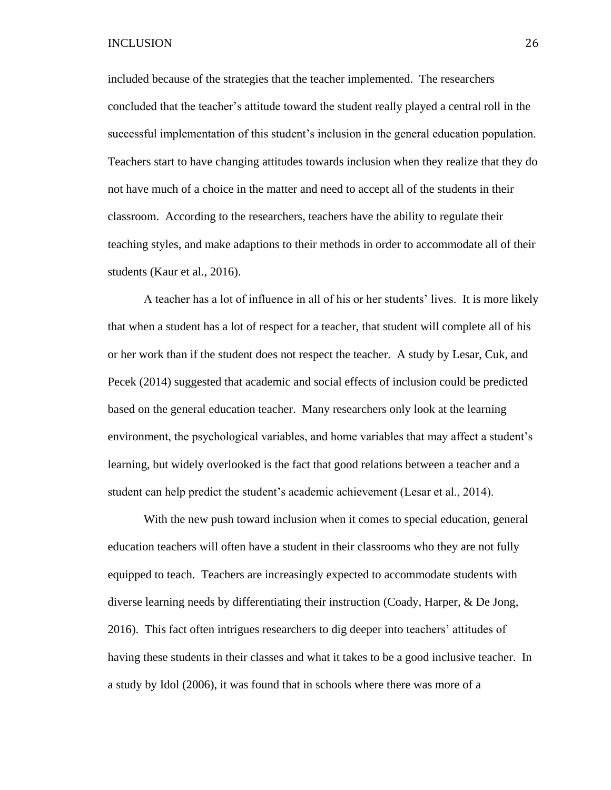included because of the strategies that the teacher implemented. The researchers concluded that the teacher's attitude toward the student really played a central roll in the successful implementation of this student's inclusion in the general education population. Teachers start to have changing attitudes towards inclusion when they realize that they do not have much of a choice in the matter and need to accept all of the students in their classroom. According to the researchers, teachers have the ability to regulate their teaching styles, and make adaptions to their methods in order to accommodate all of their students (Kaur et al., 2016).

A teacher has a lot of influence in all of his or her students' lives. It is more likely that when a student has a lot of respect for a teacher, that student will complete all of his or her work than if the student does not respect the teacher. A study by Lesar, Cuk, and Pecek (2014) suggested that academic and social effects of inclusion could be predicted based on the general education teacher. Many researchers only look at the learning environment, the psychological variables, and home variables that may affect a student's learning, but widely overlooked is the fact that good relations between a teacher and a student can help predict the student's academic achievement (Lesar et al., 2014).

With the new push toward inclusion when it comes to special education, general education teachers will often have a student in their classrooms who they are not fully equipped to teach. Teachers are increasingly expected to accommodate students with diverse learning needs by differentiating their instruction (Coady, Harper, & De Jong, 2016). This fact often intrigues researchers to dig deeper into teachers' attitudes of having these students in their classes and what it takes to be a good inclusive teacher. In a study by Idol (2006), it was found that in schools where there was more of a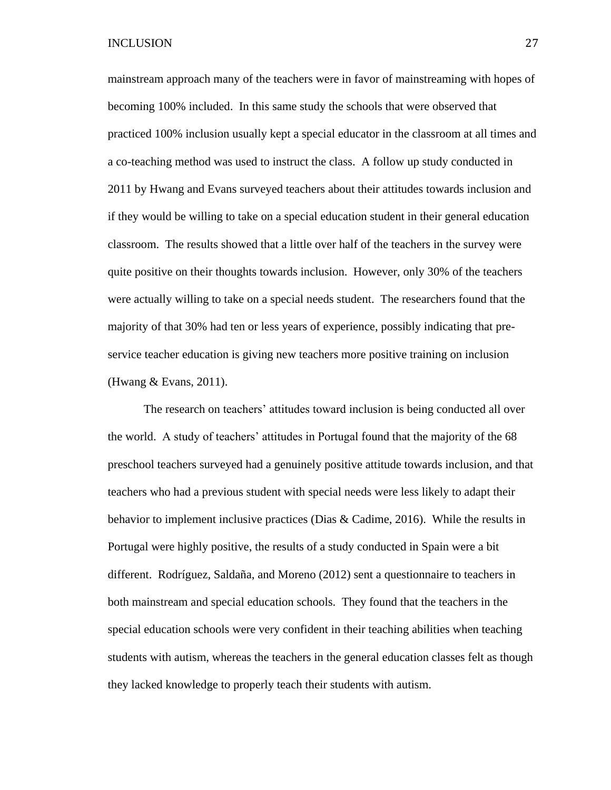mainstream approach many of the teachers were in favor of mainstreaming with hopes of becoming 100% included. In this same study the schools that were observed that practiced 100% inclusion usually kept a special educator in the classroom at all times and a co-teaching method was used to instruct the class. A follow up study conducted in 2011 by Hwang and Evans surveyed teachers about their attitudes towards inclusion and if they would be willing to take on a special education student in their general education classroom. The results showed that a little over half of the teachers in the survey were quite positive on their thoughts towards inclusion. However, only 30% of the teachers were actually willing to take on a special needs student. The researchers found that the majority of that 30% had ten or less years of experience, possibly indicating that preservice teacher education is giving new teachers more positive training on inclusion (Hwang & Evans, 2011).

The research on teachers' attitudes toward inclusion is being conducted all over the world. A study of teachers' attitudes in Portugal found that the majority of the 68 preschool teachers surveyed had a genuinely positive attitude towards inclusion, and that teachers who had a previous student with special needs were less likely to adapt their behavior to implement inclusive practices (Dias & Cadime, 2016). While the results in Portugal were highly positive, the results of a study conducted in Spain were a bit different. Rodríguez, Saldaña, and Moreno (2012) sent a questionnaire to teachers in both mainstream and special education schools. They found that the teachers in the special education schools were very confident in their teaching abilities when teaching students with autism, whereas the teachers in the general education classes felt as though they lacked knowledge to properly teach their students with autism.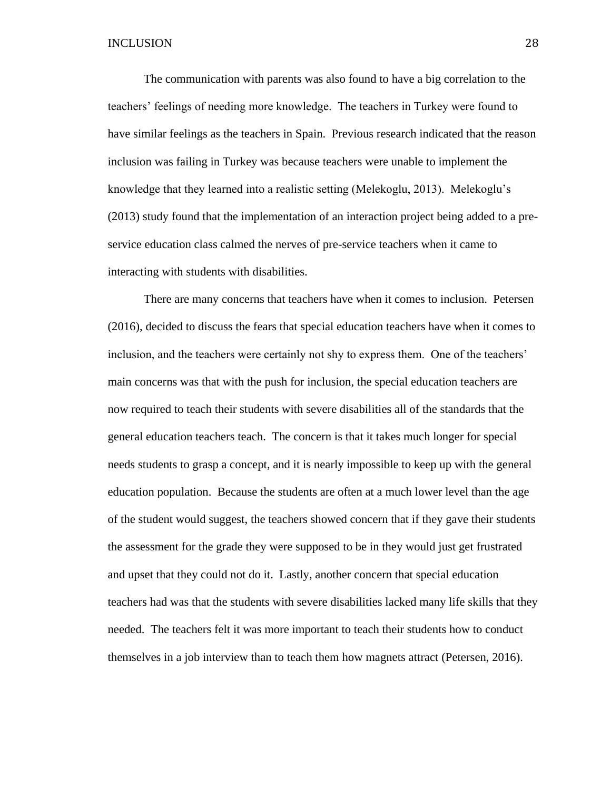The communication with parents was also found to have a big correlation to the teachers' feelings of needing more knowledge. The teachers in Turkey were found to have similar feelings as the teachers in Spain. Previous research indicated that the reason inclusion was failing in Turkey was because teachers were unable to implement the knowledge that they learned into a realistic setting (Melekoglu, 2013). Melekoglu's (2013) study found that the implementation of an interaction project being added to a preservice education class calmed the nerves of pre-service teachers when it came to interacting with students with disabilities.

There are many concerns that teachers have when it comes to inclusion. Petersen (2016), decided to discuss the fears that special education teachers have when it comes to inclusion, and the teachers were certainly not shy to express them. One of the teachers' main concerns was that with the push for inclusion, the special education teachers are now required to teach their students with severe disabilities all of the standards that the general education teachers teach. The concern is that it takes much longer for special needs students to grasp a concept, and it is nearly impossible to keep up with the general education population. Because the students are often at a much lower level than the age of the student would suggest, the teachers showed concern that if they gave their students the assessment for the grade they were supposed to be in they would just get frustrated and upset that they could not do it. Lastly, another concern that special education teachers had was that the students with severe disabilities lacked many life skills that they needed. The teachers felt it was more important to teach their students how to conduct themselves in a job interview than to teach them how magnets attract (Petersen, 2016).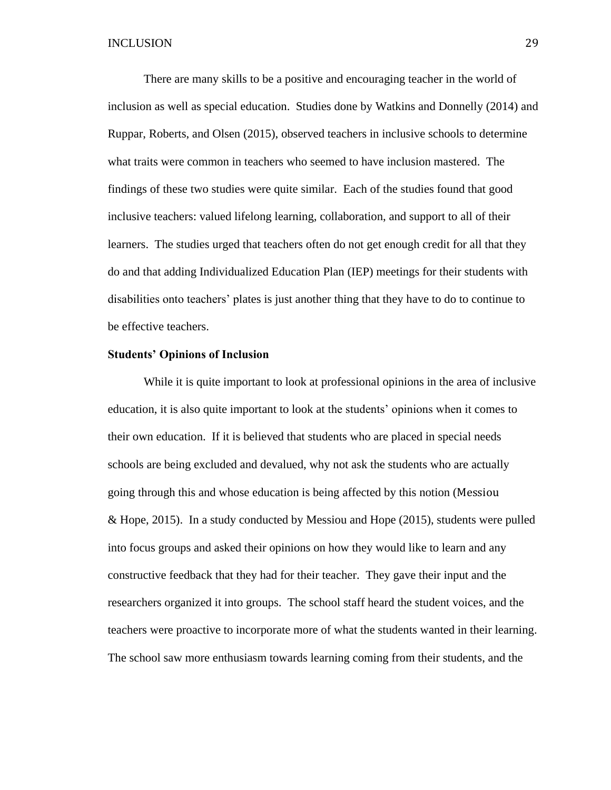There are many skills to be a positive and encouraging teacher in the world of inclusion as well as special education. Studies done by Watkins and Donnelly (2014) and Ruppar, Roberts, and Olsen (2015), observed teachers in inclusive schools to determine what traits were common in teachers who seemed to have inclusion mastered. The findings of these two studies were quite similar. Each of the studies found that good inclusive teachers: valued lifelong learning, collaboration, and support to all of their learners. The studies urged that teachers often do not get enough credit for all that they do and that adding Individualized Education Plan (IEP) meetings for their students with disabilities onto teachers' plates is just another thing that they have to do to continue to be effective teachers.

#### **Students' Opinions of Inclusion**

While it is quite important to look at professional opinions in the area of inclusive education, it is also quite important to look at the students' opinions when it comes to their own education. If it is believed that students who are placed in special needs schools are being excluded and devalued, why not ask the students who are actually going through this and whose education is being affected by this notion (Messiou & Hope, 2015). In a study conducted by Messiou and Hope (2015), students were pulled into focus groups and asked their opinions on how they would like to learn and any constructive feedback that they had for their teacher. They gave their input and the researchers organized it into groups. The school staff heard the student voices, and the teachers were proactive to incorporate more of what the students wanted in their learning. The school saw more enthusiasm towards learning coming from their students, and the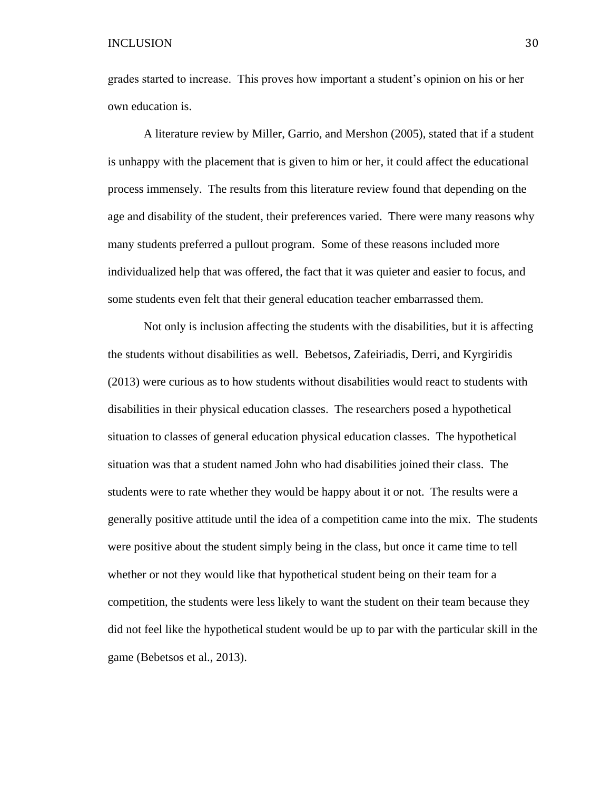grades started to increase. This proves how important a student's opinion on his or her own education is.

A literature review by Miller, Garrio, and Mershon (2005), stated that if a student is unhappy with the placement that is given to him or her, it could affect the educational process immensely. The results from this literature review found that depending on the age and disability of the student, their preferences varied. There were many reasons why many students preferred a pullout program. Some of these reasons included more individualized help that was offered, the fact that it was quieter and easier to focus, and some students even felt that their general education teacher embarrassed them.

Not only is inclusion affecting the students with the disabilities, but it is affecting the students without disabilities as well. Bebetsos, Zafeiriadis, Derri, and Kyrgiridis (2013) were curious as to how students without disabilities would react to students with disabilities in their physical education classes. The researchers posed a hypothetical situation to classes of general education physical education classes. The hypothetical situation was that a student named John who had disabilities joined their class. The students were to rate whether they would be happy about it or not. The results were a generally positive attitude until the idea of a competition came into the mix. The students were positive about the student simply being in the class, but once it came time to tell whether or not they would like that hypothetical student being on their team for a competition, the students were less likely to want the student on their team because they did not feel like the hypothetical student would be up to par with the particular skill in the game (Bebetsos et al., 2013).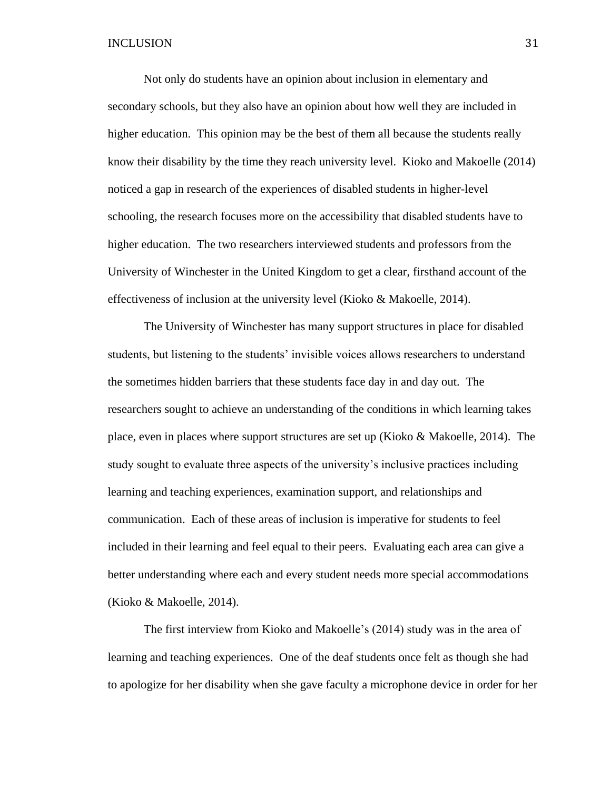Not only do students have an opinion about inclusion in elementary and secondary schools, but they also have an opinion about how well they are included in higher education. This opinion may be the best of them all because the students really know their disability by the time they reach university level. Kioko and Makoelle (2014) noticed a gap in research of the experiences of disabled students in higher-level schooling, the research focuses more on the accessibility that disabled students have to higher education. The two researchers interviewed students and professors from the University of Winchester in the United Kingdom to get a clear, firsthand account of the effectiveness of inclusion at the university level (Kioko & Makoelle, 2014).

The University of Winchester has many support structures in place for disabled students, but listening to the students' invisible voices allows researchers to understand the sometimes hidden barriers that these students face day in and day out. The researchers sought to achieve an understanding of the conditions in which learning takes place, even in places where support structures are set up (Kioko & Makoelle, 2014). The study sought to evaluate three aspects of the university's inclusive practices including learning and teaching experiences, examination support, and relationships and communication. Each of these areas of inclusion is imperative for students to feel included in their learning and feel equal to their peers. Evaluating each area can give a better understanding where each and every student needs more special accommodations (Kioko & Makoelle, 2014).

The first interview from Kioko and Makoelle's (2014) study was in the area of learning and teaching experiences. One of the deaf students once felt as though she had to apologize for her disability when she gave faculty a microphone device in order for her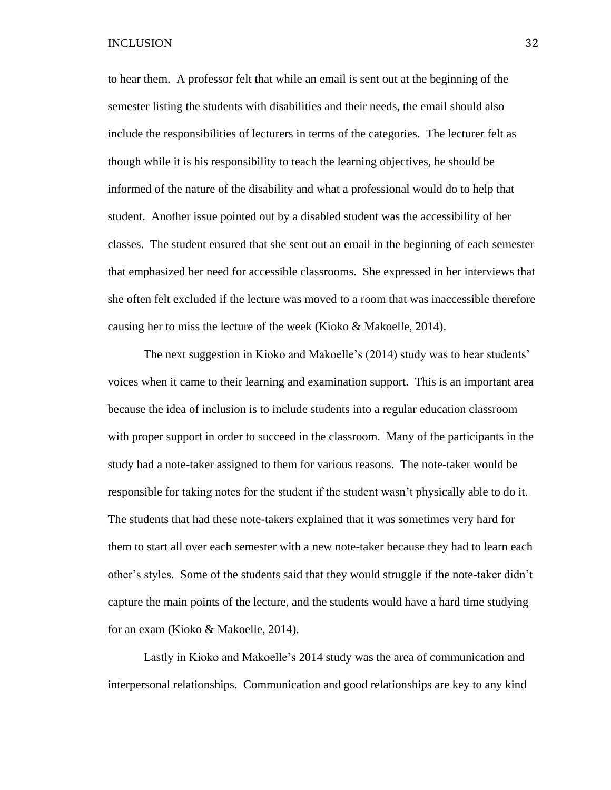to hear them. A professor felt that while an email is sent out at the beginning of the semester listing the students with disabilities and their needs, the email should also include the responsibilities of lecturers in terms of the categories. The lecturer felt as though while it is his responsibility to teach the learning objectives, he should be informed of the nature of the disability and what a professional would do to help that student. Another issue pointed out by a disabled student was the accessibility of her classes. The student ensured that she sent out an email in the beginning of each semester that emphasized her need for accessible classrooms. She expressed in her interviews that she often felt excluded if the lecture was moved to a room that was inaccessible therefore causing her to miss the lecture of the week (Kioko & Makoelle, 2014).

The next suggestion in Kioko and Makoelle's (2014) study was to hear students' voices when it came to their learning and examination support. This is an important area because the idea of inclusion is to include students into a regular education classroom with proper support in order to succeed in the classroom. Many of the participants in the study had a note-taker assigned to them for various reasons. The note-taker would be responsible for taking notes for the student if the student wasn't physically able to do it. The students that had these note-takers explained that it was sometimes very hard for them to start all over each semester with a new note-taker because they had to learn each other's styles. Some of the students said that they would struggle if the note-taker didn't capture the main points of the lecture, and the students would have a hard time studying for an exam (Kioko & Makoelle, 2014).

Lastly in Kioko and Makoelle's 2014 study was the area of communication and interpersonal relationships. Communication and good relationships are key to any kind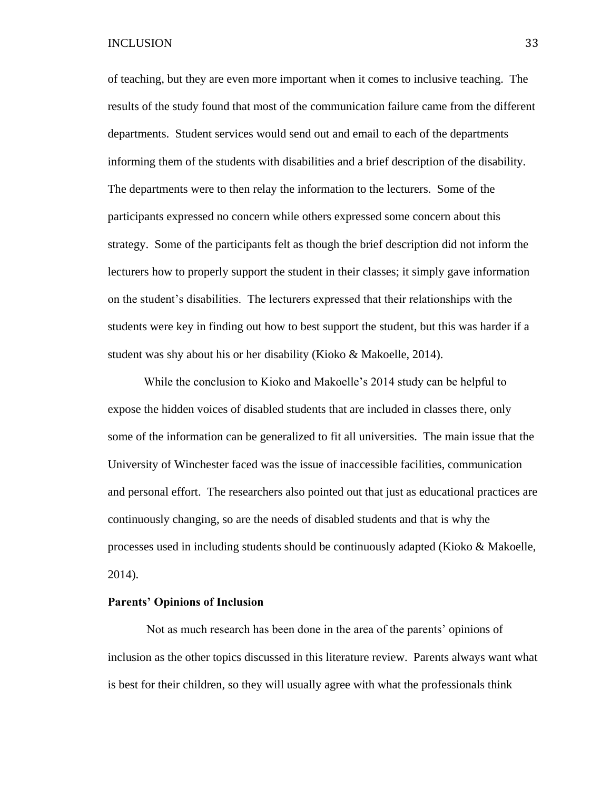of teaching, but they are even more important when it comes to inclusive teaching. The results of the study found that most of the communication failure came from the different departments. Student services would send out and email to each of the departments informing them of the students with disabilities and a brief description of the disability. The departments were to then relay the information to the lecturers. Some of the participants expressed no concern while others expressed some concern about this strategy. Some of the participants felt as though the brief description did not inform the lecturers how to properly support the student in their classes; it simply gave information on the student's disabilities. The lecturers expressed that their relationships with the students were key in finding out how to best support the student, but this was harder if a student was shy about his or her disability (Kioko & Makoelle, 2014).

While the conclusion to Kioko and Makoelle's 2014 study can be helpful to expose the hidden voices of disabled students that are included in classes there, only some of the information can be generalized to fit all universities. The main issue that the University of Winchester faced was the issue of inaccessible facilities, communication and personal effort. The researchers also pointed out that just as educational practices are continuously changing, so are the needs of disabled students and that is why the processes used in including students should be continuously adapted (Kioko & Makoelle, 2014).

## **Parents' Opinions of Inclusion**

Not as much research has been done in the area of the parents' opinions of inclusion as the other topics discussed in this literature review. Parents always want what is best for their children, so they will usually agree with what the professionals think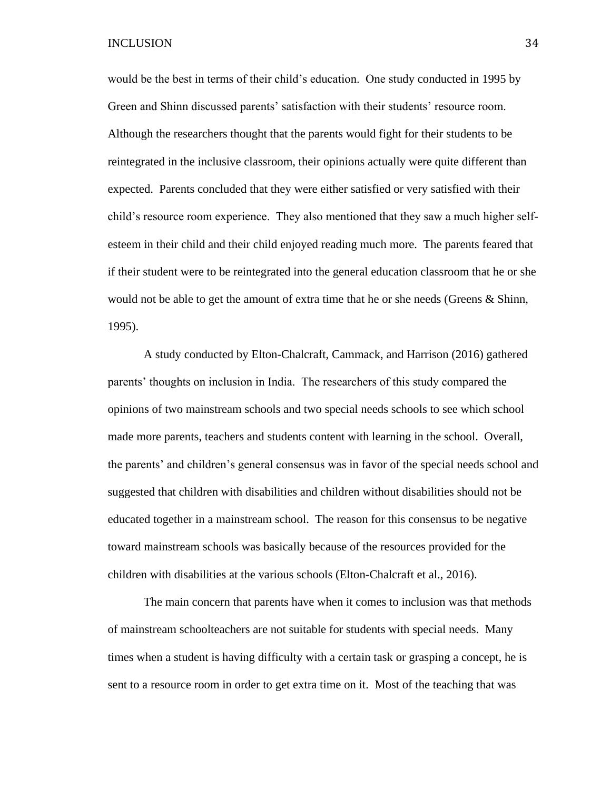would be the best in terms of their child's education. One study conducted in 1995 by Green and Shinn discussed parents' satisfaction with their students' resource room. Although the researchers thought that the parents would fight for their students to be reintegrated in the inclusive classroom, their opinions actually were quite different than expected. Parents concluded that they were either satisfied or very satisfied with their child's resource room experience. They also mentioned that they saw a much higher selfesteem in their child and their child enjoyed reading much more. The parents feared that if their student were to be reintegrated into the general education classroom that he or she would not be able to get the amount of extra time that he or she needs (Greens & Shinn, 1995).

A study conducted by Elton-Chalcraft, Cammack, and Harrison (2016) gathered parents' thoughts on inclusion in India. The researchers of this study compared the opinions of two mainstream schools and two special needs schools to see which school made more parents, teachers and students content with learning in the school. Overall, the parents' and children's general consensus was in favor of the special needs school and suggested that children with disabilities and children without disabilities should not be educated together in a mainstream school. The reason for this consensus to be negative toward mainstream schools was basically because of the resources provided for the children with disabilities at the various schools (Elton-Chalcraft et al., 2016).

The main concern that parents have when it comes to inclusion was that methods of mainstream schoolteachers are not suitable for students with special needs. Many times when a student is having difficulty with a certain task or grasping a concept, he is sent to a resource room in order to get extra time on it. Most of the teaching that was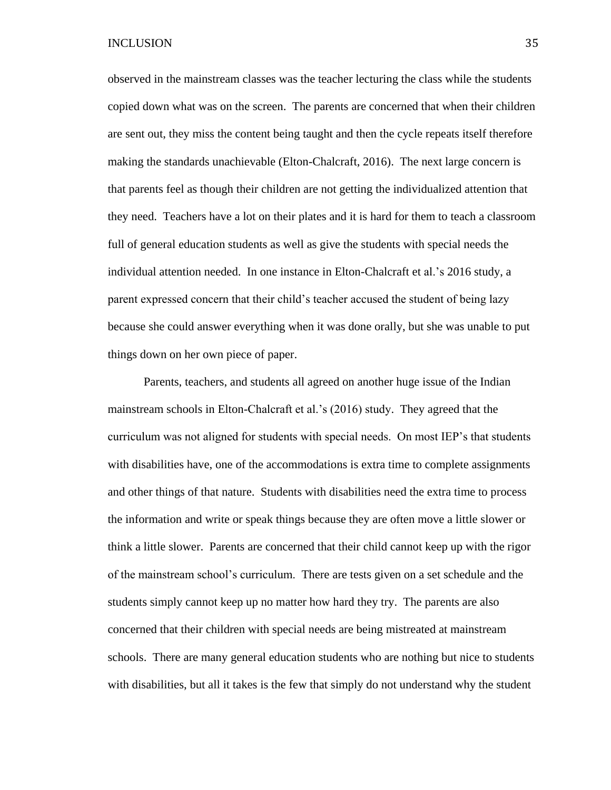observed in the mainstream classes was the teacher lecturing the class while the students copied down what was on the screen. The parents are concerned that when their children are sent out, they miss the content being taught and then the cycle repeats itself therefore making the standards unachievable (Elton-Chalcraft, 2016). The next large concern is that parents feel as though their children are not getting the individualized attention that they need. Teachers have a lot on their plates and it is hard for them to teach a classroom full of general education students as well as give the students with special needs the individual attention needed. In one instance in Elton-Chalcraft et al.'s 2016 study, a parent expressed concern that their child's teacher accused the student of being lazy because she could answer everything when it was done orally, but she was unable to put things down on her own piece of paper.

Parents, teachers, and students all agreed on another huge issue of the Indian mainstream schools in Elton-Chalcraft et al.'s (2016) study. They agreed that the curriculum was not aligned for students with special needs. On most IEP's that students with disabilities have, one of the accommodations is extra time to complete assignments and other things of that nature. Students with disabilities need the extra time to process the information and write or speak things because they are often move a little slower or think a little slower. Parents are concerned that their child cannot keep up with the rigor of the mainstream school's curriculum. There are tests given on a set schedule and the students simply cannot keep up no matter how hard they try. The parents are also concerned that their children with special needs are being mistreated at mainstream schools. There are many general education students who are nothing but nice to students with disabilities, but all it takes is the few that simply do not understand why the student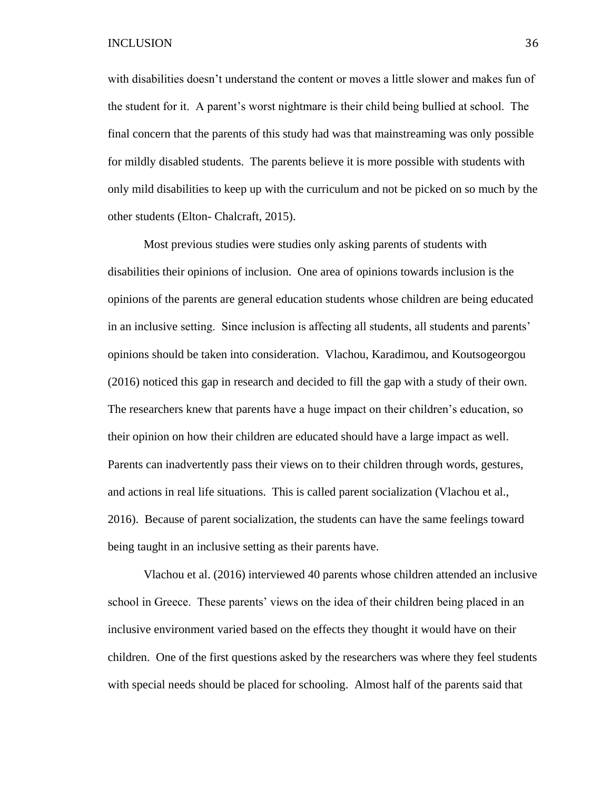with disabilities doesn't understand the content or moves a little slower and makes fun of the student for it. A parent's worst nightmare is their child being bullied at school. The final concern that the parents of this study had was that mainstreaming was only possible for mildly disabled students. The parents believe it is more possible with students with only mild disabilities to keep up with the curriculum and not be picked on so much by the other students (Elton- Chalcraft, 2015).

Most previous studies were studies only asking parents of students with disabilities their opinions of inclusion. One area of opinions towards inclusion is the opinions of the parents are general education students whose children are being educated in an inclusive setting. Since inclusion is affecting all students, all students and parents' opinions should be taken into consideration. Vlachou, Karadimou, and Koutsogeorgou (2016) noticed this gap in research and decided to fill the gap with a study of their own. The researchers knew that parents have a huge impact on their children's education, so their opinion on how their children are educated should have a large impact as well. Parents can inadvertently pass their views on to their children through words, gestures, and actions in real life situations. This is called parent socialization (Vlachou et al., 2016). Because of parent socialization, the students can have the same feelings toward being taught in an inclusive setting as their parents have.

Vlachou et al. (2016) interviewed 40 parents whose children attended an inclusive school in Greece. These parents' views on the idea of their children being placed in an inclusive environment varied based on the effects they thought it would have on their children. One of the first questions asked by the researchers was where they feel students with special needs should be placed for schooling. Almost half of the parents said that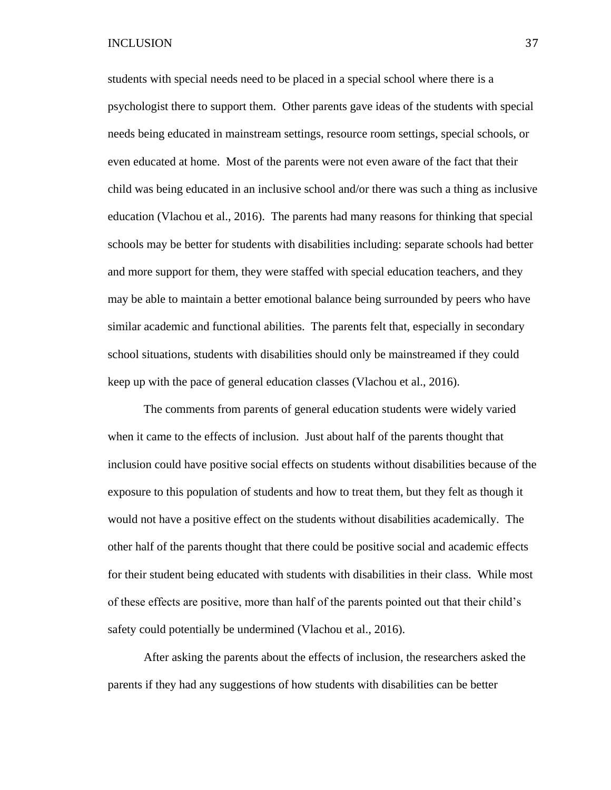students with special needs need to be placed in a special school where there is a psychologist there to support them. Other parents gave ideas of the students with special needs being educated in mainstream settings, resource room settings, special schools, or even educated at home. Most of the parents were not even aware of the fact that their child was being educated in an inclusive school and/or there was such a thing as inclusive education (Vlachou et al., 2016). The parents had many reasons for thinking that special schools may be better for students with disabilities including: separate schools had better and more support for them, they were staffed with special education teachers, and they may be able to maintain a better emotional balance being surrounded by peers who have similar academic and functional abilities. The parents felt that, especially in secondary school situations, students with disabilities should only be mainstreamed if they could keep up with the pace of general education classes (Vlachou et al., 2016).

The comments from parents of general education students were widely varied when it came to the effects of inclusion. Just about half of the parents thought that inclusion could have positive social effects on students without disabilities because of the exposure to this population of students and how to treat them, but they felt as though it would not have a positive effect on the students without disabilities academically. The other half of the parents thought that there could be positive social and academic effects for their student being educated with students with disabilities in their class. While most of these effects are positive, more than half of the parents pointed out that their child's safety could potentially be undermined (Vlachou et al., 2016).

After asking the parents about the effects of inclusion, the researchers asked the parents if they had any suggestions of how students with disabilities can be better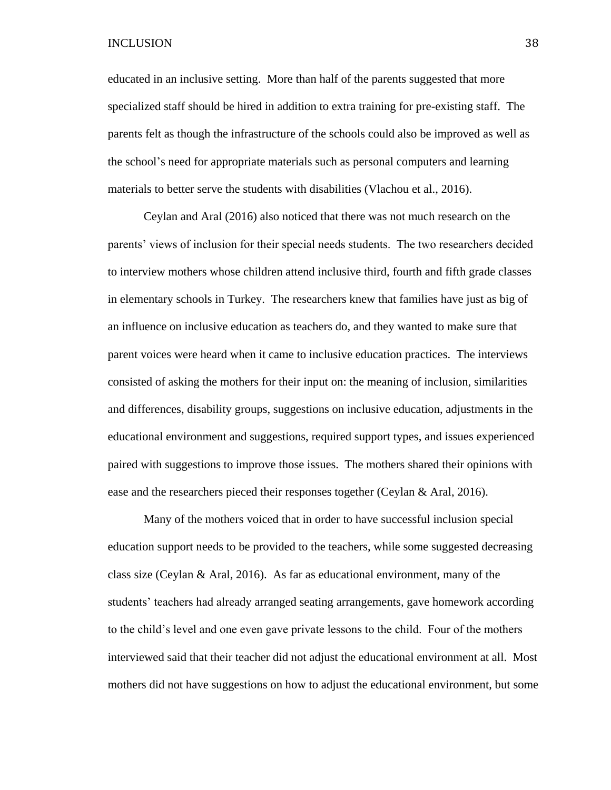educated in an inclusive setting. More than half of the parents suggested that more specialized staff should be hired in addition to extra training for pre-existing staff. The parents felt as though the infrastructure of the schools could also be improved as well as the school's need for appropriate materials such as personal computers and learning materials to better serve the students with disabilities (Vlachou et al., 2016).

Ceylan and Aral (2016) also noticed that there was not much research on the parents' views of inclusion for their special needs students. The two researchers decided to interview mothers whose children attend inclusive third, fourth and fifth grade classes in elementary schools in Turkey. The researchers knew that families have just as big of an influence on inclusive education as teachers do, and they wanted to make sure that parent voices were heard when it came to inclusive education practices. The interviews consisted of asking the mothers for their input on: the meaning of inclusion, similarities and differences, disability groups, suggestions on inclusive education, adjustments in the educational environment and suggestions, required support types, and issues experienced paired with suggestions to improve those issues. The mothers shared their opinions with ease and the researchers pieced their responses together (Ceylan & Aral, 2016).

Many of the mothers voiced that in order to have successful inclusion special education support needs to be provided to the teachers, while some suggested decreasing class size (Ceylan & Aral, 2016). As far as educational environment, many of the students' teachers had already arranged seating arrangements, gave homework according to the child's level and one even gave private lessons to the child. Four of the mothers interviewed said that their teacher did not adjust the educational environment at all. Most mothers did not have suggestions on how to adjust the educational environment, but some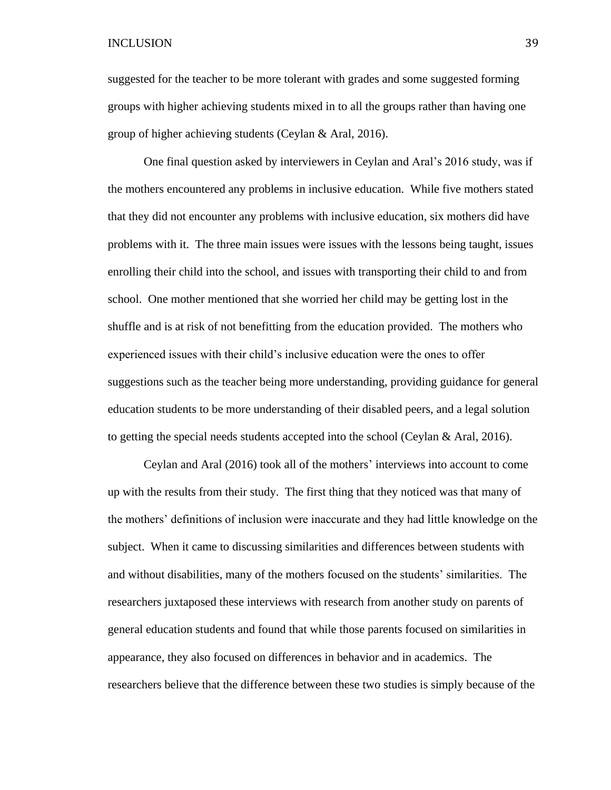suggested for the teacher to be more tolerant with grades and some suggested forming groups with higher achieving students mixed in to all the groups rather than having one group of higher achieving students (Ceylan & Aral, 2016).

One final question asked by interviewers in Ceylan and Aral's 2016 study, was if the mothers encountered any problems in inclusive education. While five mothers stated that they did not encounter any problems with inclusive education, six mothers did have problems with it. The three main issues were issues with the lessons being taught, issues enrolling their child into the school, and issues with transporting their child to and from school. One mother mentioned that she worried her child may be getting lost in the shuffle and is at risk of not benefitting from the education provided. The mothers who experienced issues with their child's inclusive education were the ones to offer suggestions such as the teacher being more understanding, providing guidance for general education students to be more understanding of their disabled peers, and a legal solution to getting the special needs students accepted into the school (Ceylan & Aral, 2016).

Ceylan and Aral (2016) took all of the mothers' interviews into account to come up with the results from their study. The first thing that they noticed was that many of the mothers' definitions of inclusion were inaccurate and they had little knowledge on the subject. When it came to discussing similarities and differences between students with and without disabilities, many of the mothers focused on the students' similarities. The researchers juxtaposed these interviews with research from another study on parents of general education students and found that while those parents focused on similarities in appearance, they also focused on differences in behavior and in academics. The researchers believe that the difference between these two studies is simply because of the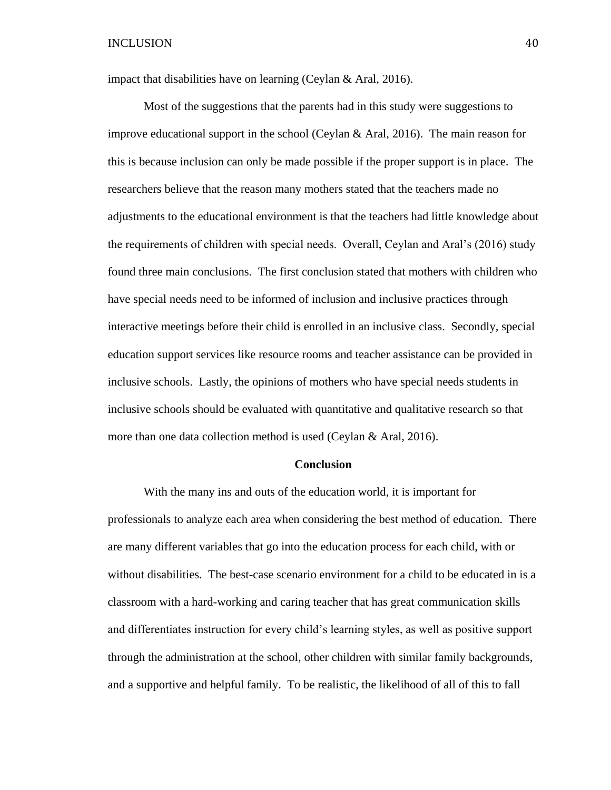impact that disabilities have on learning (Ceylan & Aral, 2016).

Most of the suggestions that the parents had in this study were suggestions to improve educational support in the school (Ceylan & Aral, 2016). The main reason for this is because inclusion can only be made possible if the proper support is in place. The researchers believe that the reason many mothers stated that the teachers made no adjustments to the educational environment is that the teachers had little knowledge about the requirements of children with special needs. Overall, Ceylan and Aral's (2016) study found three main conclusions. The first conclusion stated that mothers with children who have special needs need to be informed of inclusion and inclusive practices through interactive meetings before their child is enrolled in an inclusive class. Secondly, special education support services like resource rooms and teacher assistance can be provided in inclusive schools. Lastly, the opinions of mothers who have special needs students in inclusive schools should be evaluated with quantitative and qualitative research so that more than one data collection method is used (Ceylan & Aral, 2016).

#### **Conclusion**

With the many ins and outs of the education world, it is important for professionals to analyze each area when considering the best method of education. There are many different variables that go into the education process for each child, with or without disabilities. The best-case scenario environment for a child to be educated in is a classroom with a hard-working and caring teacher that has great communication skills and differentiates instruction for every child's learning styles, as well as positive support through the administration at the school, other children with similar family backgrounds, and a supportive and helpful family. To be realistic, the likelihood of all of this to fall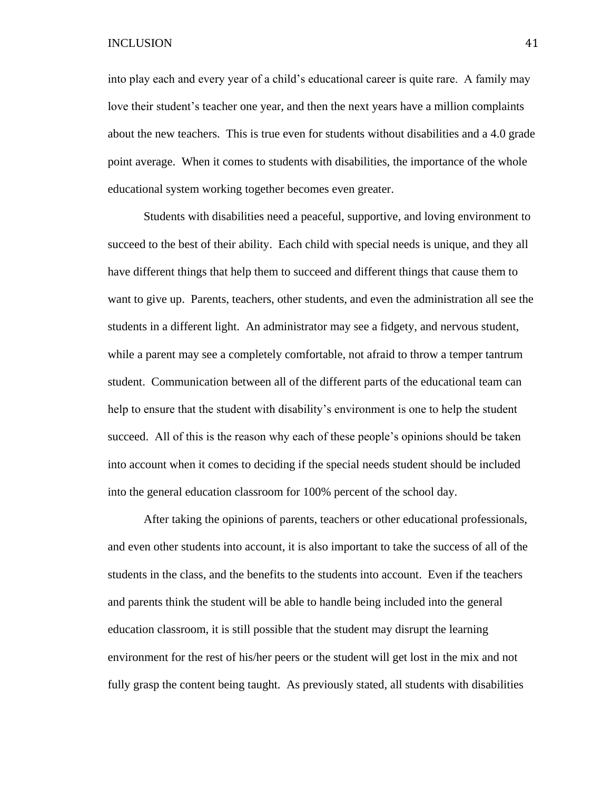into play each and every year of a child's educational career is quite rare. A family may love their student's teacher one year, and then the next years have a million complaints about the new teachers. This is true even for students without disabilities and a 4.0 grade point average. When it comes to students with disabilities, the importance of the whole educational system working together becomes even greater.

Students with disabilities need a peaceful, supportive, and loving environment to succeed to the best of their ability. Each child with special needs is unique, and they all have different things that help them to succeed and different things that cause them to want to give up. Parents, teachers, other students, and even the administration all see the students in a different light. An administrator may see a fidgety, and nervous student, while a parent may see a completely comfortable, not afraid to throw a temper tantrum student. Communication between all of the different parts of the educational team can help to ensure that the student with disability's environment is one to help the student succeed. All of this is the reason why each of these people's opinions should be taken into account when it comes to deciding if the special needs student should be included into the general education classroom for 100% percent of the school day.

After taking the opinions of parents, teachers or other educational professionals, and even other students into account, it is also important to take the success of all of the students in the class, and the benefits to the students into account. Even if the teachers and parents think the student will be able to handle being included into the general education classroom, it is still possible that the student may disrupt the learning environment for the rest of his/her peers or the student will get lost in the mix and not fully grasp the content being taught. As previously stated, all students with disabilities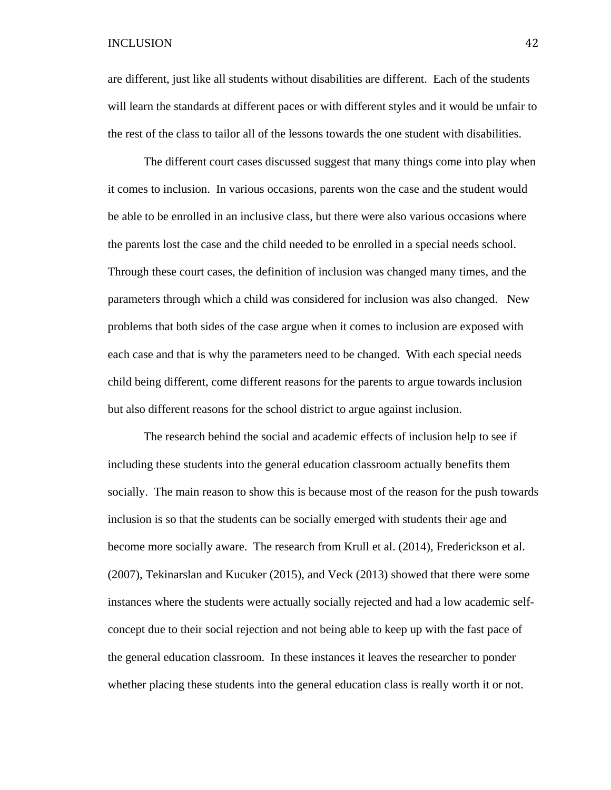are different, just like all students without disabilities are different. Each of the students will learn the standards at different paces or with different styles and it would be unfair to the rest of the class to tailor all of the lessons towards the one student with disabilities.

The different court cases discussed suggest that many things come into play when it comes to inclusion. In various occasions, parents won the case and the student would be able to be enrolled in an inclusive class, but there were also various occasions where the parents lost the case and the child needed to be enrolled in a special needs school. Through these court cases, the definition of inclusion was changed many times, and the parameters through which a child was considered for inclusion was also changed. New problems that both sides of the case argue when it comes to inclusion are exposed with each case and that is why the parameters need to be changed. With each special needs child being different, come different reasons for the parents to argue towards inclusion but also different reasons for the school district to argue against inclusion.

The research behind the social and academic effects of inclusion help to see if including these students into the general education classroom actually benefits them socially. The main reason to show this is because most of the reason for the push towards inclusion is so that the students can be socially emerged with students their age and become more socially aware. The research from Krull et al. (2014), Frederickson et al. (2007), Tekinarslan and Kucuker (2015), and Veck (2013) showed that there were some instances where the students were actually socially rejected and had a low academic selfconcept due to their social rejection and not being able to keep up with the fast pace of the general education classroom. In these instances it leaves the researcher to ponder whether placing these students into the general education class is really worth it or not.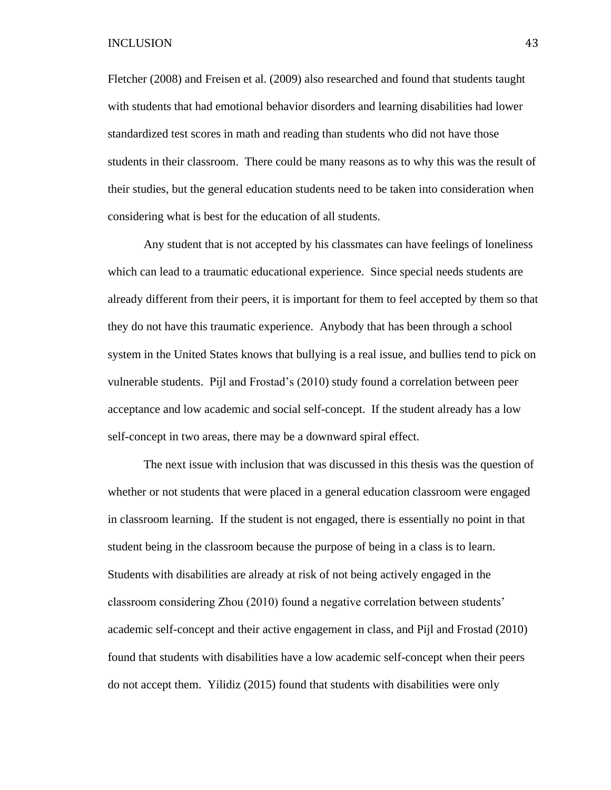Fletcher (2008) and Freisen et al. (2009) also researched and found that students taught with students that had emotional behavior disorders and learning disabilities had lower standardized test scores in math and reading than students who did not have those students in their classroom. There could be many reasons as to why this was the result of their studies, but the general education students need to be taken into consideration when considering what is best for the education of all students.

Any student that is not accepted by his classmates can have feelings of loneliness which can lead to a traumatic educational experience. Since special needs students are already different from their peers, it is important for them to feel accepted by them so that they do not have this traumatic experience. Anybody that has been through a school system in the United States knows that bullying is a real issue, and bullies tend to pick on vulnerable students. Pijl and Frostad's (2010) study found a correlation between peer acceptance and low academic and social self-concept. If the student already has a low self-concept in two areas, there may be a downward spiral effect.

The next issue with inclusion that was discussed in this thesis was the question of whether or not students that were placed in a general education classroom were engaged in classroom learning. If the student is not engaged, there is essentially no point in that student being in the classroom because the purpose of being in a class is to learn. Students with disabilities are already at risk of not being actively engaged in the classroom considering Zhou (2010) found a negative correlation between students' academic self-concept and their active engagement in class, and Pijl and Frostad (2010) found that students with disabilities have a low academic self-concept when their peers do not accept them. Yilidiz (2015) found that students with disabilities were only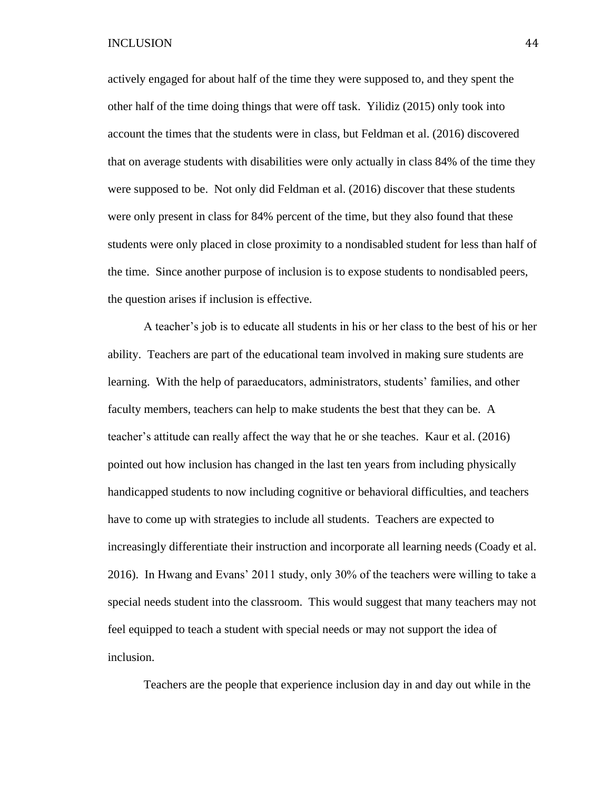actively engaged for about half of the time they were supposed to, and they spent the other half of the time doing things that were off task. Yilidiz (2015) only took into account the times that the students were in class, but Feldman et al. (2016) discovered that on average students with disabilities were only actually in class 84% of the time they were supposed to be. Not only did Feldman et al. (2016) discover that these students were only present in class for 84% percent of the time, but they also found that these students were only placed in close proximity to a nondisabled student for less than half of the time. Since another purpose of inclusion is to expose students to nondisabled peers, the question arises if inclusion is effective.

A teacher's job is to educate all students in his or her class to the best of his or her ability. Teachers are part of the educational team involved in making sure students are learning. With the help of paraeducators, administrators, students' families, and other faculty members, teachers can help to make students the best that they can be. A teacher's attitude can really affect the way that he or she teaches. Kaur et al. (2016) pointed out how inclusion has changed in the last ten years from including physically handicapped students to now including cognitive or behavioral difficulties, and teachers have to come up with strategies to include all students. Teachers are expected to increasingly differentiate their instruction and incorporate all learning needs (Coady et al. 2016). In Hwang and Evans' 2011 study, only 30% of the teachers were willing to take a special needs student into the classroom. This would suggest that many teachers may not feel equipped to teach a student with special needs or may not support the idea of inclusion.

Teachers are the people that experience inclusion day in and day out while in the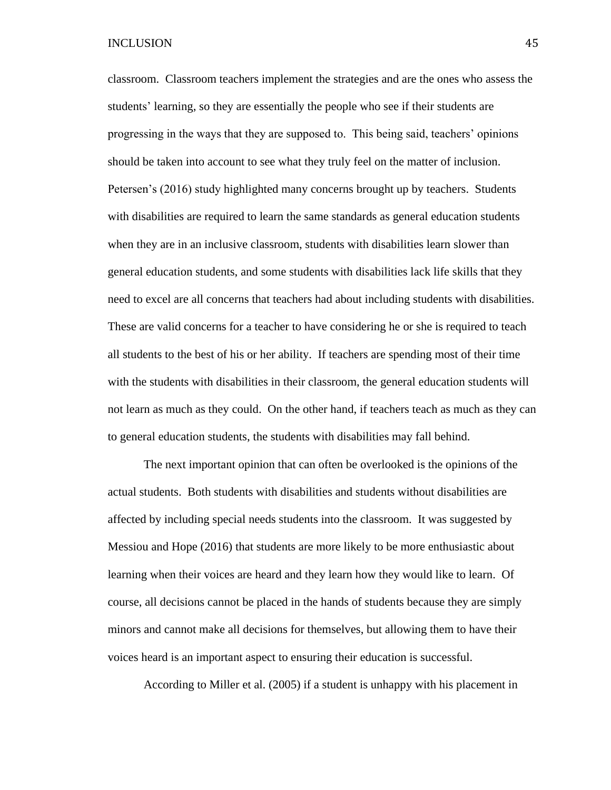classroom. Classroom teachers implement the strategies and are the ones who assess the students' learning, so they are essentially the people who see if their students are progressing in the ways that they are supposed to. This being said, teachers' opinions should be taken into account to see what they truly feel on the matter of inclusion. Petersen's (2016) study highlighted many concerns brought up by teachers. Students with disabilities are required to learn the same standards as general education students when they are in an inclusive classroom, students with disabilities learn slower than general education students, and some students with disabilities lack life skills that they need to excel are all concerns that teachers had about including students with disabilities. These are valid concerns for a teacher to have considering he or she is required to teach all students to the best of his or her ability. If teachers are spending most of their time with the students with disabilities in their classroom, the general education students will not learn as much as they could. On the other hand, if teachers teach as much as they can to general education students, the students with disabilities may fall behind.

The next important opinion that can often be overlooked is the opinions of the actual students. Both students with disabilities and students without disabilities are affected by including special needs students into the classroom. It was suggested by Messiou and Hope (2016) that students are more likely to be more enthusiastic about learning when their voices are heard and they learn how they would like to learn. Of course, all decisions cannot be placed in the hands of students because they are simply minors and cannot make all decisions for themselves, but allowing them to have their voices heard is an important aspect to ensuring their education is successful.

According to Miller et al. (2005) if a student is unhappy with his placement in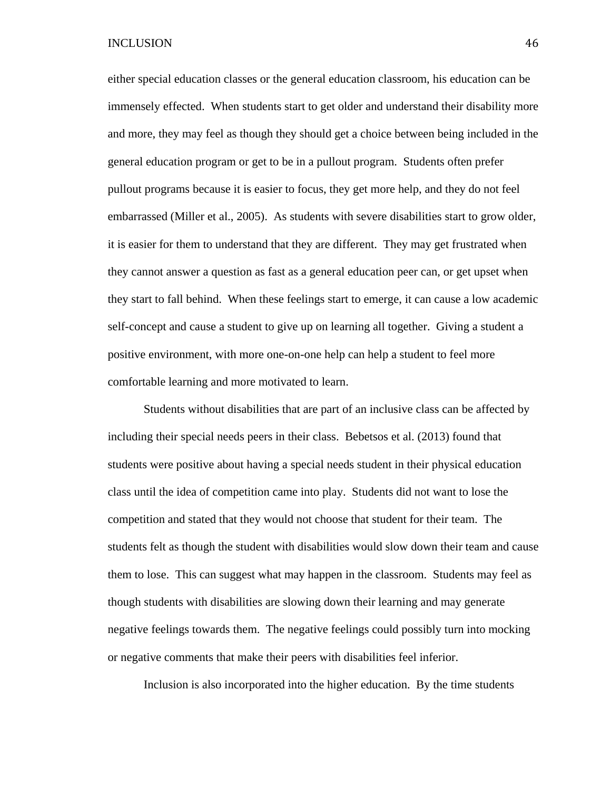either special education classes or the general education classroom, his education can be immensely effected. When students start to get older and understand their disability more and more, they may feel as though they should get a choice between being included in the general education program or get to be in a pullout program. Students often prefer pullout programs because it is easier to focus, they get more help, and they do not feel embarrassed (Miller et al., 2005). As students with severe disabilities start to grow older, it is easier for them to understand that they are different. They may get frustrated when they cannot answer a question as fast as a general education peer can, or get upset when they start to fall behind. When these feelings start to emerge, it can cause a low academic self-concept and cause a student to give up on learning all together. Giving a student a positive environment, with more one-on-one help can help a student to feel more comfortable learning and more motivated to learn.

Students without disabilities that are part of an inclusive class can be affected by including their special needs peers in their class. Bebetsos et al. (2013) found that students were positive about having a special needs student in their physical education class until the idea of competition came into play. Students did not want to lose the competition and stated that they would not choose that student for their team. The students felt as though the student with disabilities would slow down their team and cause them to lose. This can suggest what may happen in the classroom. Students may feel as though students with disabilities are slowing down their learning and may generate negative feelings towards them. The negative feelings could possibly turn into mocking or negative comments that make their peers with disabilities feel inferior.

Inclusion is also incorporated into the higher education. By the time students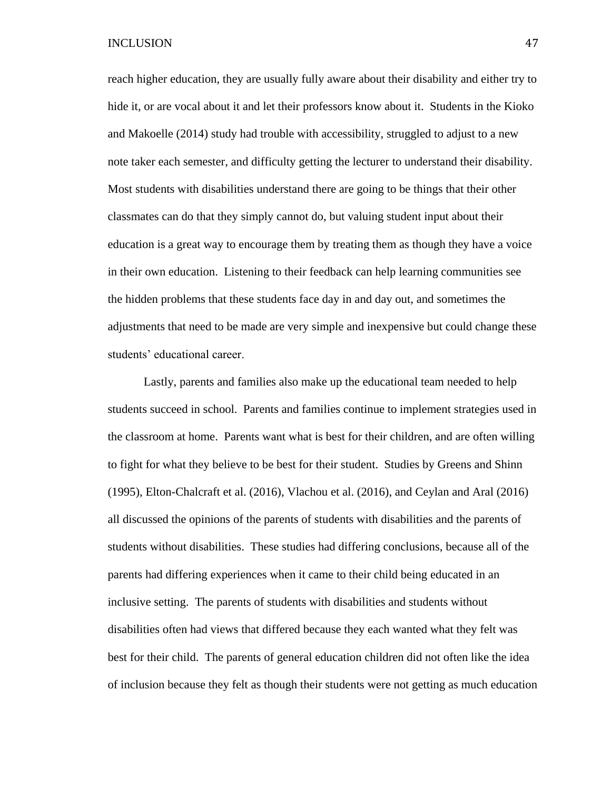reach higher education, they are usually fully aware about their disability and either try to hide it, or are vocal about it and let their professors know about it. Students in the Kioko and Makoelle (2014) study had trouble with accessibility, struggled to adjust to a new note taker each semester, and difficulty getting the lecturer to understand their disability. Most students with disabilities understand there are going to be things that their other classmates can do that they simply cannot do, but valuing student input about their education is a great way to encourage them by treating them as though they have a voice in their own education. Listening to their feedback can help learning communities see the hidden problems that these students face day in and day out, and sometimes the adjustments that need to be made are very simple and inexpensive but could change these students' educational career.

Lastly, parents and families also make up the educational team needed to help students succeed in school. Parents and families continue to implement strategies used in the classroom at home. Parents want what is best for their children, and are often willing to fight for what they believe to be best for their student. Studies by Greens and Shinn (1995), Elton-Chalcraft et al. (2016), Vlachou et al. (2016), and Ceylan and Aral (2016) all discussed the opinions of the parents of students with disabilities and the parents of students without disabilities. These studies had differing conclusions, because all of the parents had differing experiences when it came to their child being educated in an inclusive setting. The parents of students with disabilities and students without disabilities often had views that differed because they each wanted what they felt was best for their child. The parents of general education children did not often like the idea of inclusion because they felt as though their students were not getting as much education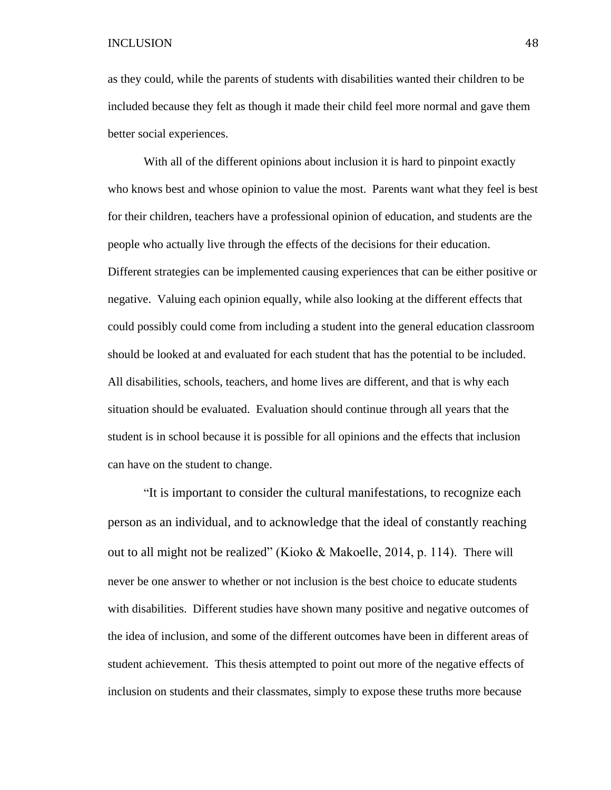as they could, while the parents of students with disabilities wanted their children to be included because they felt as though it made their child feel more normal and gave them better social experiences.

With all of the different opinions about inclusion it is hard to pinpoint exactly who knows best and whose opinion to value the most. Parents want what they feel is best for their children, teachers have a professional opinion of education, and students are the people who actually live through the effects of the decisions for their education. Different strategies can be implemented causing experiences that can be either positive or negative. Valuing each opinion equally, while also looking at the different effects that could possibly could come from including a student into the general education classroom should be looked at and evaluated for each student that has the potential to be included. All disabilities, schools, teachers, and home lives are different, and that is why each situation should be evaluated. Evaluation should continue through all years that the student is in school because it is possible for all opinions and the effects that inclusion can have on the student to change.

"It is important to consider the cultural manifestations, to recognize each person as an individual, and to acknowledge that the ideal of constantly reaching out to all might not be realized" (Kioko & Makoelle, 2014, p. 114). There will never be one answer to whether or not inclusion is the best choice to educate students with disabilities. Different studies have shown many positive and negative outcomes of the idea of inclusion, and some of the different outcomes have been in different areas of student achievement. This thesis attempted to point out more of the negative effects of inclusion on students and their classmates, simply to expose these truths more because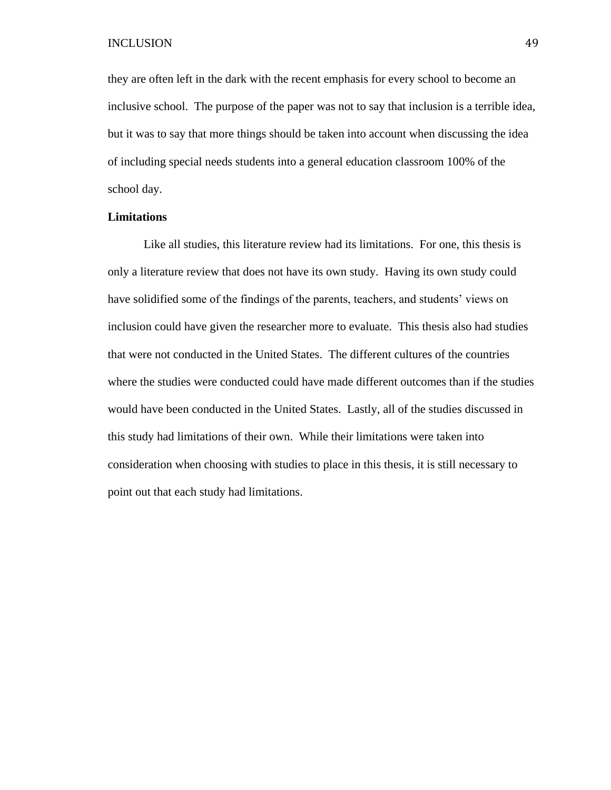they are often left in the dark with the recent emphasis for every school to become an inclusive school. The purpose of the paper was not to say that inclusion is a terrible idea, but it was to say that more things should be taken into account when discussing the idea of including special needs students into a general education classroom 100% of the school day.

## **Limitations**

Like all studies, this literature review had its limitations. For one, this thesis is only a literature review that does not have its own study. Having its own study could have solidified some of the findings of the parents, teachers, and students' views on inclusion could have given the researcher more to evaluate. This thesis also had studies that were not conducted in the United States. The different cultures of the countries where the studies were conducted could have made different outcomes than if the studies would have been conducted in the United States. Lastly, all of the studies discussed in this study had limitations of their own. While their limitations were taken into consideration when choosing with studies to place in this thesis, it is still necessary to point out that each study had limitations.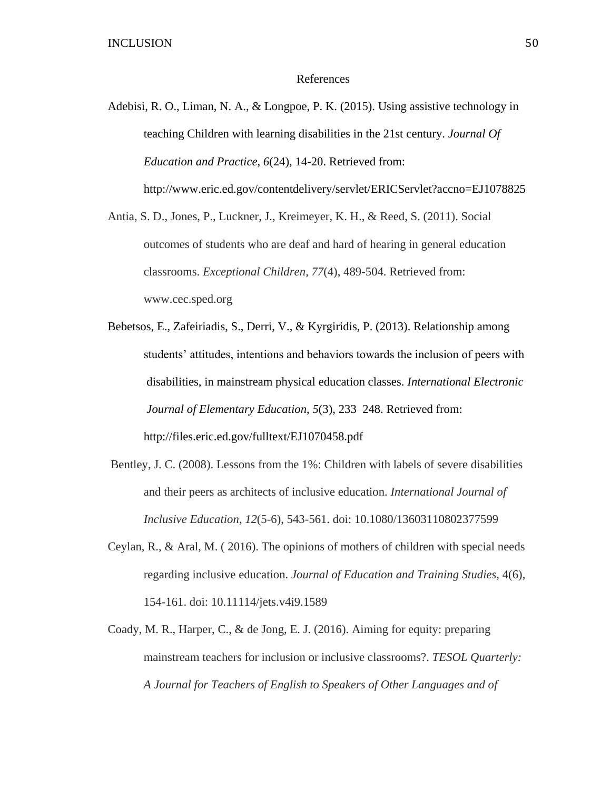#### References

Adebisi, R. O., Liman, N. A., & Longpoe, P. K. (2015). Using assistive technology in teaching Children with learning disabilities in the 21st century. *Journal Of Education and Practice*, *6*(24), 14-20. Retrieved from: http://www.eric.ed.gov/contentdelivery/servlet/ERICServlet?accno=EJ1078825

Antia, S. D., Jones, P., Luckner, J., Kreimeyer, K. H., & Reed, S. (2011). Social outcomes of students who are deaf and hard of hearing in general education classrooms. *Exceptional Children*, *77*(4), 489-504. Retrieved from: www.cec.sped.org

- Bebetsos, E., Zafeiriadis, S., Derri, V., & Kyrgiridis, P. (2013). Relationship among students' attitudes, intentions and behaviors towards the inclusion of peers with disabilities, in mainstream physical education classes. *International Electronic Journal of Elementary Education*, *5*(3), 233–248. Retrieved from: http://files.eric.ed.gov/fulltext/EJ1070458.pdf
- Bentley, J. C. (2008). Lessons from the 1%: Children with labels of severe disabilities and their peers as architects of inclusive education. *International Journal of Inclusive Education*, *12*(5-6), 543-561. doi: 10.1080/13603110802377599
- Ceylan, R., & Aral, M. ( 2016). The opinions of mothers of children with special needs regarding inclusive education. *Journal of Education and Training Studies,* 4(6), 154-161. doi: 10.11114/jets.v4i9.1589
- Coady, M. R., Harper, C., & de Jong, E. J. (2016). Aiming for equity: preparing mainstream teachers for inclusion or inclusive classrooms?. *TESOL Quarterly: A Journal for Teachers of English to Speakers of Other Languages and of*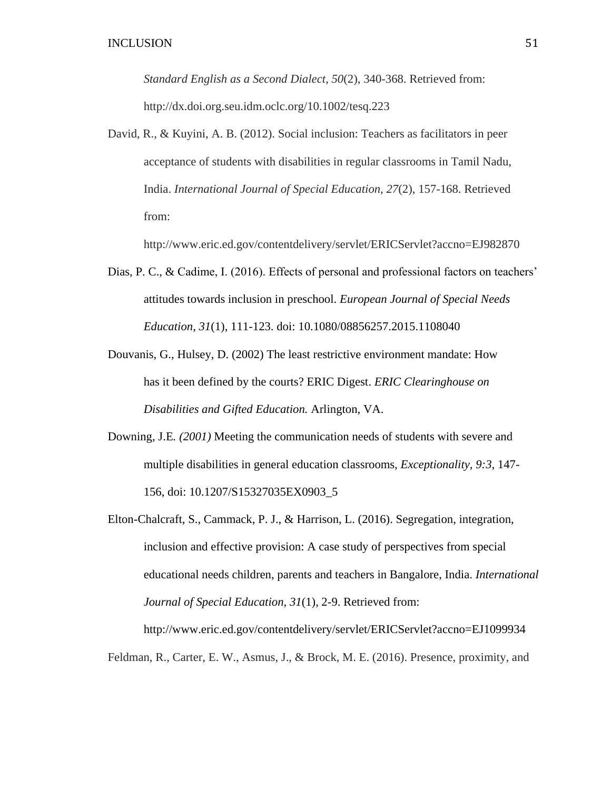*Standard English as a Second Dialect*, *50*(2), 340-368. Retrieved from: http://dx.doi.org.seu.idm.oclc.org/10.1002/tesq.223

David, R., & Kuyini, A. B. (2012). Social inclusion: Teachers as facilitators in peer acceptance of students with disabilities in regular classrooms in Tamil Nadu, India. *International Journal of Special Education*, *27*(2), 157-168. Retrieved from:

http://www.eric.ed.gov/contentdelivery/servlet/ERICServlet?accno=EJ982870

- Dias, P. C., & Cadime, I. (2016). Effects of personal and professional factors on teachers' attitudes towards inclusion in preschool. *European Journal of Special Needs Education*, *31*(1), 111-123. doi: 10.1080/08856257.2015.1108040
- Douvanis, G., Hulsey, D. (2002) The least restrictive environment mandate: How has it been defined by the courts? ERIC Digest. *ERIC Clearinghouse on Disabilities and Gifted Education.* Arlington, VA.
- Downing, J.E*. (2001)* Meeting the communication needs of students with severe and multiple disabilities in general education classrooms*, Exceptionality, 9:3,* 147- 156, doi: 10.1207/S15327035EX0903\_5
- Elton-Chalcraft, S., Cammack, P. J., & Harrison, L. (2016). Segregation, integration, inclusion and effective provision: A case study of perspectives from special educational needs children, parents and teachers in Bangalore, India. *International Journal of Special Education*, *31*(1), 2-9. Retrieved from:

http://www.eric.ed.gov/contentdelivery/servlet/ERICServlet?accno=EJ1099934 Feldman, R., Carter, E. W., Asmus, J., & Brock, M. E. (2016). Presence, proximity, and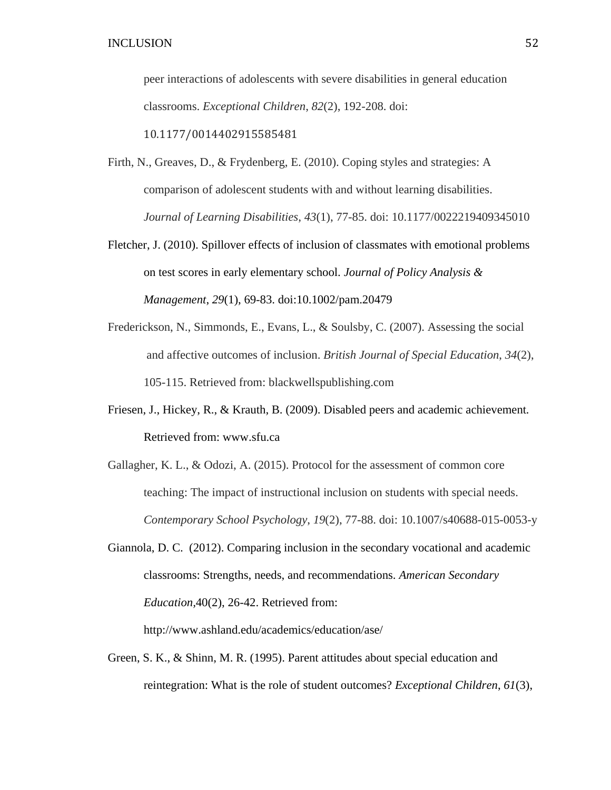peer interactions of adolescents with severe disabilities in general education classrooms. *Exceptional Children*, *82*(2), 192-208. doi:

10.1177/0014402915585481

- Firth, N., Greaves, D., & Frydenberg, E. (2010). Coping styles and strategies: A comparison of adolescent students with and without learning disabilities. *Journal of Learning Disabilities*, *43*(1), 77-85. doi: 10.1177/0022219409345010
- Fletcher, J. (2010). Spillover effects of inclusion of classmates with emotional problems on test scores in early elementary school. *Journal of Policy Analysis & Management*, *29*(1), 69-83. doi:10.1002/pam.20479
- Frederickson, N., Simmonds, E., Evans, L., & Soulsby, C. (2007). Assessing the social and affective outcomes of inclusion. *British Journal of Special Education*, *34*(2), 105-115. Retrieved from: blackwellspublishing.com
- Friesen, J., Hickey, R., & Krauth, B. (2009). Disabled peers and academic achievement*.* Retrieved from: www.sfu.ca
- Gallagher, K. L., & Odozi, A. (2015). Protocol for the assessment of common core teaching: The impact of instructional inclusion on students with special needs. *Contemporary School Psychology*, *19*(2), 77-88. doi: 10.1007/s40688-015-0053-y
- Giannola, D. C. (2012). Comparing inclusion in the secondary vocational and academic classrooms: Strengths, needs, and recommendations. *American Secondary Education,*40(2), 26-42. Retrieved from:

http://www.ashland.edu/academics/education/ase/

Green, S. K., & Shinn, M. R. (1995). Parent attitudes about special education and reintegration: What is the role of student outcomes? *Exceptional Children*, *61*(3),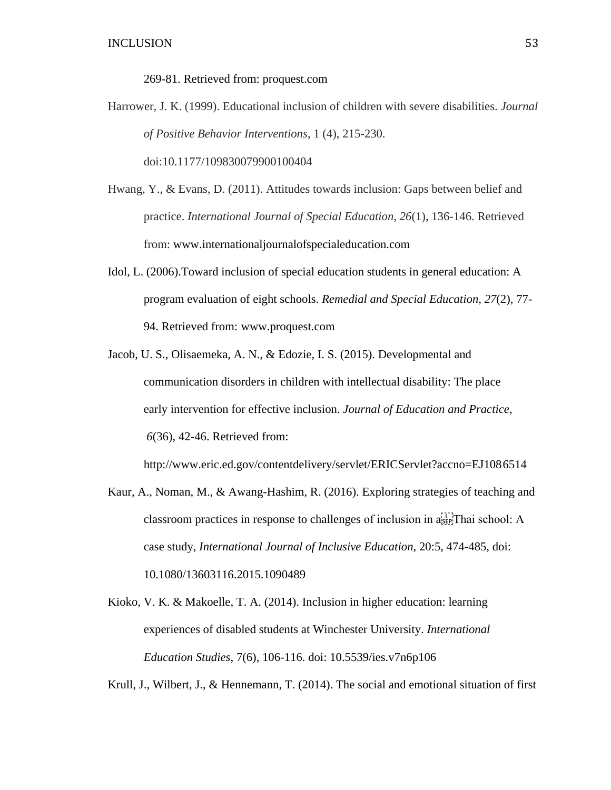269-81. Retrieved from: proquest.com

Harrower, J. K. (1999). Educational inclusion of children with severe disabilities. *Journal of Positive Behavior Interventions*, 1 (4), 215-230.

doi:10.1177/109830079900100404

- Hwang, Y., & Evans, D. (2011). Attitudes towards inclusion: Gaps between belief and practice. *International Journal of Special Education*, *26*(1), 136-146. Retrieved from: www.internationaljournalofspecialeducation.com
- Idol, L. (2006).Toward inclusion of special education students in general education: A program evaluation of eight schools. *Remedial and Special Education*, *27*(2), 77- 94. Retrieved from: www.proquest.com
- Jacob, U. S., Olisaemeka, A. N., & Edozie, I. S. (2015). Developmental and communication disorders in children with intellectual disability: The place early intervention for effective inclusion. *Journal of Education and Practice*, *6*(36), 42-46. Retrieved from:

http://www.eric.ed.gov/contentdelivery/servlet/ERICServlet?accno=EJ1086514

- Kaur, A., Noman, M., & Awang-Hashim, R. (2016). Exploring strategies of teaching and classroom practices in response to challenges of inclusion in  $a_{\text{SEP}}^{\text{LP}}$ Thai school: A case study, *International Journal of Inclusive Education*, 20:5, 474-485, doi: 10.1080/13603116.2015.1090489
- Kioko, V. K. & Makoelle, T. A. (2014). Inclusion in higher education: learning experiences of disabled students at Winchester University. *International Education Studies*, 7(6), 106-116. doi: 10.5539/ies.v7n6p106

Krull, J., Wilbert, J., & Hennemann, T. (2014). The social and emotional situation of first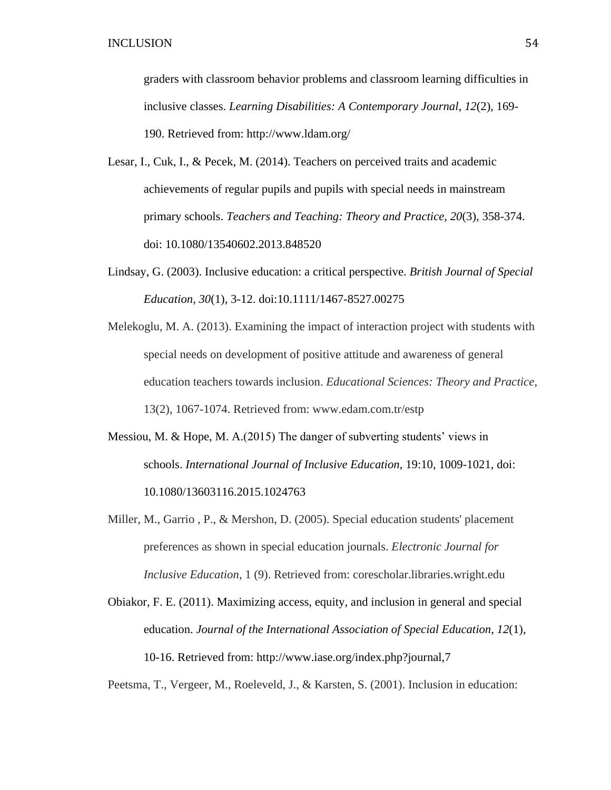graders with classroom behavior problems and classroom learning difficulties in inclusive classes. *Learning Disabilities: A Contemporary Journal*, *12*(2), 169- 190. Retrieved from: http://www.ldam.org/

- Lesar, I., Cuk, I., & Pecek, M. (2014). Teachers on perceived traits and academic achievements of regular pupils and pupils with special needs in mainstream primary schools. *Teachers and Teaching: Theory and Practice*, *20*(3), 358-374. doi: 10.1080/13540602.2013.848520
- Lindsay, G. (2003). Inclusive education: a critical perspective. *British Journal of Special Education*, *30*(1), 3-12. doi:10.1111/1467-8527.00275
- Melekoglu, M. A. (2013). Examining the impact of interaction project with students with special needs on development of positive attitude and awareness of general education teachers towards inclusion. *Educational Sciences: Theory and Practice,*  13(2), 1067-1074. Retrieved from: www.edam.com.tr/estp
- Messiou, M. & Hope, M. A.(2015) The danger of subverting students' views in schools. *International Journal of Inclusive Education*, 19:10, 1009-1021, doi: 10.1080/13603116.2015.1024763
- Miller, M., Garrio , P., & Mershon, D. (2005). Special education students' placement preferences as shown in special education journals. *Electronic Journal for Inclusive Education*, 1 (9). Retrieved from: corescholar.libraries.wright.edu
- Obiakor, F. E. (2011). Maximizing access, equity, and inclusion in general and special education. *Journal of the International Association of Special Education*, *12*(1), 10-16. Retrieved from: http://www.iase.org/index.php?journal,7

Peetsma, T., Vergeer, M., Roeleveld, J., & Karsten, S. (2001). Inclusion in education: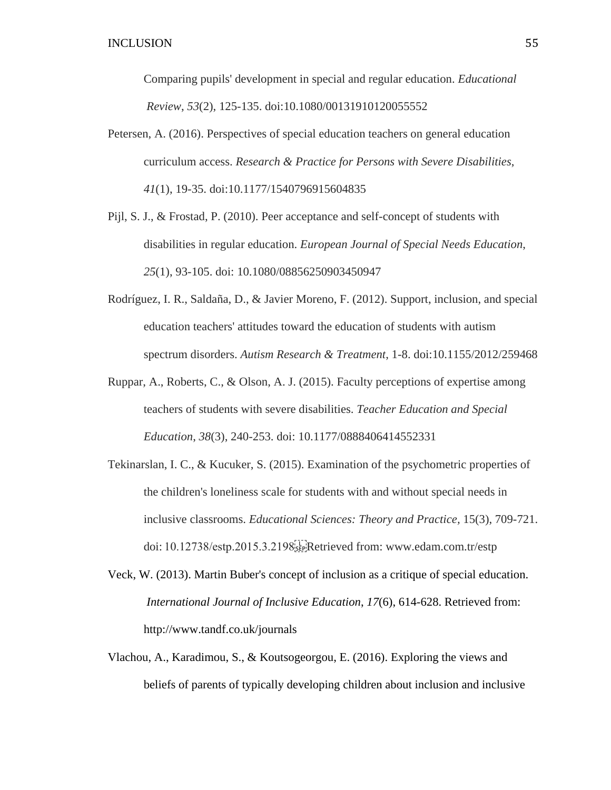Comparing pupils' development in special and regular education. *Educational Review*, *53*(2), 125-135. doi:10.1080/00131910120055552

- Petersen, A. (2016). Perspectives of special education teachers on general education curriculum access. *Research & Practice for Persons with Severe Disabilities*, *41*(1), 19-35. doi:10.1177/1540796915604835
- Pijl, S. J., & Frostad, P. (2010). Peer acceptance and self-concept of students with disabilities in regular education. *European Journal of Special Needs Education*, *25*(1), 93-105. doi: 10.1080/08856250903450947
- Rodríguez, I. R., Saldaña, D., & Javier Moreno, F. (2012). Support, inclusion, and special education teachers' attitudes toward the education of students with autism spectrum disorders. *Autism Research & Treatment*, 1-8. doi:10.1155/2012/259468
- Ruppar, A., Roberts, C., & Olson, A. J. (2015). Faculty perceptions of expertise among teachers of students with severe disabilities. *Teacher Education and Special Education*, *38*(3), 240-253. doi: 10.1177/0888406414552331
- Tekinarslan, I. C., & Kucuker, S. (2015). Examination of the psychometric properties of the children's loneliness scale for students with and without special needs in inclusive classrooms. *Educational Sciences: Theory and Practice,* 15(3), 709-721. doi: 10.12738/estp.2015.3.2198
Retrieved from: www.edam.com.tr/estp
- Veck, W. (2013). Martin Buber's concept of inclusion as a critique of special education. *International Journal of Inclusive Education*, *17*(6), 614-628. Retrieved from: http://www.tandf.co.uk/journals
- Vlachou, A., Karadimou, S., & Koutsogeorgou, E. (2016). Exploring the views and beliefs of parents of typically developing children about inclusion and inclusive